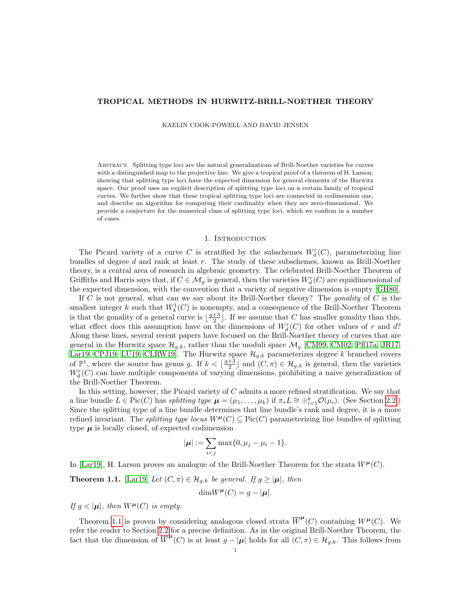## TROPICAL METHODS IN HURWITZ-BRILL-NOETHER THEORY

KAELIN COOK-POWELL AND DAVID JENSEN

Abstract. Splitting type loci are the natural generalizations of Brill-Noether varieties for curves with a distinguished map to the projective line. We give a tropical proof of a theorem of H. Larson, showing that splitting type loci have the expected dimension for general elements of the Hurwitz space. Our proof uses an explicit description of splitting type loci on a certain family of tropical curves. We further show that these tropical splitting type loci are connected in codimension one, and describe an algorithm for computing their cardinality when they are zero-dimensional. We provide a conjecture for the numerical class of splitting type loci, which we confirm in a number of cases.

#### 1. INTRODUCTION

The Picard variety of a curve C is stratified by the subschemes  $W_d^r(C)$ , parameterizing line bundles of degree d and rank at least r. The study of these subschemes, known as Brill-Noether theory, is a central area of research in algebraic geometry. The celebrated Brill-Noether Theorem of Griffiths and Harris says that, if  $C \in \mathcal{M}_g$  is general, then the varieties  $W^r_d(C)$  are equidimensional of the expected dimension, with the convention that a variety of negative dimension is empty [\[GH80\]](#page-29-0).

If C is not general, what can we say about its Brill-Noether theory? The *gonality* of C is the smallest integer k such that  $W_k^1(C)$  is nonempty, and a consequence of the Brill-Noether Theorem is that the gonality of a general curve is  $\lfloor \frac{g+3}{2} \rfloor$ . If we assume that C has smaller gonality than this, what effect does this assumption have on the dimensions of  $W_d^r(C)$  for other values of r and d? Along these lines, several recent papers have focused on the Brill-Noether theory of curves that are general in the Hurwitz space  $\mathcal{H}_{g,k}$ , rather than the moduli space  $\mathcal{M}_g$  [\[CM99,](#page-29-1) [CM02,](#page-29-2) [Pfl17a,](#page-29-3) [JR17,](#page-29-4) [Lar19,](#page-29-5) [CPJ19,](#page-29-6) [LU19,](#page-29-7) [CLRW19\]](#page-29-8). The Hurwitz space  $\mathcal{H}_{g,k}$  parameterizes degree k branched covers of  $\mathbb{P}^1$ , where the source has genus g. If  $k < \lfloor \frac{g+3}{2} \rfloor$  and  $(C, \pi) \in \mathcal{H}_{g,k}$  is general, then the varieties  $W_d^r(C)$  can have multiple components of varying dimensions, prohibiting a naive generalization of the Brill-Noether Theorem.

In this setting, however, the Picard variety of C admits a more refined stratification. We say that a line bundle  $L \in Pic(C)$  has splitting type  $\mu = (\mu_1, \ldots, \mu_k)$  if  $\pi_* L \cong \bigoplus_{i=1}^k \mathcal{O}(\mu_i)$ . (See Section [2.2.](#page-4-0)) Since the splitting type of a line bundle determines that line bundle's rank and degree, it is a more refined invariant. The *splitting type locus*  $W^{\mu}(C) \subseteq Pic(C)$  parameterizing line bundles of splitting type  $\mu$  is locally closed, of expected codimension

$$
|\boldsymbol{\mu}| := \sum_{i < j} \max\{0, \mu_j - \mu_i - 1\}.
$$

In [\[Lar19\]](#page-29-5), H. Larson proves an analogue of the Brill-Noether Theorem for the strata  $W^{\mu}(C)$ .

<span id="page-0-0"></span>**Theorem 1.1.** [\[Lar19\]](#page-29-5) Let  $(C, \pi) \in \mathcal{H}_{g,k}$  be general. If  $g \geq |\mu|$ , then

$$
\dim W^{\mu}(C) = g - |\mu|.
$$

If  $g < |\mu|$ , then  $W^{\mu}(C)$  is empty.

Theorem [1.1](#page-0-0) is proven by considering analogous closed strata  $\overline{W}^{\mu}(C)$  containing  $W^{\mu}(C)$ . We refer the reader to Section [2.2](#page-4-0) for a precise definition. As in the original Brill-Noether Theorem, the fact that the dimension of  $\overline{W}^{\mu}(C)$  is at least  $g - |\mu|$  holds for all  $(C, \pi) \in \mathcal{H}_{g,k}$ . This follows from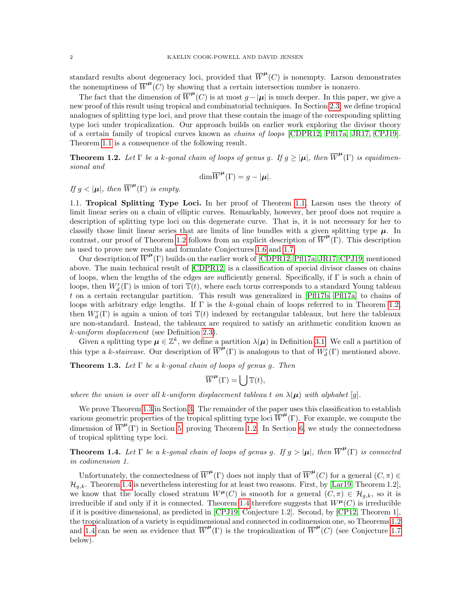standard results about degeneracy loci, provided that  $\overline{W}^{\mu}(C)$  is nonempty. Larson demonstrates the nonemptiness of  $\overline{W}^{\mu}(C)$  by showing that a certain intersection number is nonzero.

The fact that the dimension of  $\overline{W}^{\mu}(\overline{C})$  is at most  $g-|\mu|$  is much deeper. In this paper, we give a new proof of this result using tropical and combinatorial techniques. In Section [2.3,](#page-5-0) we define tropical analogues of splitting type loci, and prove that these contain the image of the corresponding splitting type loci under tropicalization. Our approach builds on earlier work exploring the divisor theory of a certain family of tropical curves known as chains of loops [\[CDPR12,](#page-28-0) [Pfl17a,](#page-29-3) [JR17,](#page-29-4) [CPJ19\]](#page-29-6). Theorem [1.1](#page-0-0) is a consequence of the following result.

<span id="page-1-0"></span>**Theorem 1.2.** Let  $\Gamma$  be a k-gonal chain of loops of genus g. If  $g \geq |\mu|$ , then  $\overline{W}^{\mu}(\Gamma)$  is equidimensional and

$$
\dim \overline{W}^{\mu}(\Gamma) = g - |\mu|.
$$

If  $g < |\mu|$ , then  $\overline{W}^{\mu}(\Gamma)$  is empty.

1.1. Tropical Splitting Type Loci. In her proof of Theorem [1.1,](#page-0-0) Larson uses the theory of limit linear series on a chain of elliptic curves. Remarkably, however, her proof does not require a description of splitting type loci on this degenerate curve. That is, it is not necessary for her to classify those limit linear series that are limits of line bundles with a given splitting type  $\mu$ . In contrast, our proof of Theorem [1.2](#page-1-0) follows from an explicit description of  $\overline{W}^{\mu}(\Gamma)$ . This description is used to prove new results and formulate Conjectures [1.6](#page-2-0) and [1.7.](#page-2-1)

Our description of  $\overline{W}^{\mu}(\Gamma)$  builds on the earlier work of [\[CDPR12,](#page-28-0) [Pfl17a,](#page-29-3) [JR17,](#page-29-4) [CPJ19\]](#page-29-6) mentioned above. The main technical result of [\[CDPR12\]](#page-28-0) is a classification of special divisor classes on chains of loops, when the lengths of the edges are sufficiently general. Specifically, if Γ is such a chain of loops, then  $W_d^r(\Gamma)$  is union of tori  $\mathbb{T}(t)$ , where each torus corresponds to a standard Young tableau t on a certain rectangular partition. This result was generalized in [\[Pfl17b,](#page-29-9) [Pfl17a\]](#page-29-3) to chains of loops with arbitrary edge lengths. If Γ is the k-gonal chain of loops referred to in Theorem [1.2,](#page-1-0) then  $W_d^r(\Gamma)$  is again a union of tori  $\mathbb{T}(t)$  indexed by rectangular tableaux, but here the tableaux are non-standard. Instead, the tableaux are required to satisfy an arithmetic condition known as k-uniform displacement (see Definition [2.3\)](#page-3-0).

Given a splitting type  $\mu \in \mathbb{Z}^k$ , we define a partition  $\lambda(\mu)$  in Definition [3.1.](#page-7-0) We call a partition of this type a k-staircase. Our description of  $\overline{W}^{\mu}(\Gamma)$  is analogous to that of  $W_d^r(\Gamma)$  mentioned above.

<span id="page-1-1"></span>**Theorem 1.3.** Let  $\Gamma$  be a k-gonal chain of loops of genus g. Then

$$
\overline{W}^{\mu}(\Gamma) = \bigcup \mathbb{T}(t),
$$

where the union is over all k-uniform displacement tableau t on  $\lambda(\mu)$  with alphabet [g].

We prove Theorem [1.3](#page-1-1) in Section [3.](#page-7-1) The remainder of the paper uses this classification to establish various geometric properties of the tropical splitting type loci  $\overline{W}^{\mu}(\Gamma)$ . For example, we compute the dimension of  $\overline{W}^{\mu}(\Gamma)$  in Section [5,](#page-17-0) proving Theorem [1.2.](#page-1-0) In Section [6,](#page-19-0) we study the connectedness of tropical splitting type loci.

<span id="page-1-2"></span>**Theorem 1.4.** Let  $\Gamma$  be a k-gonal chain of loops of genus g. If  $g > |\mu|$ , then  $\overline{W}^{\mu}(\Gamma)$  is connected in codimension 1.

Unfortunately, the connectedness of  $\overline{W}^{\mu}(\Gamma)$  does not imply that of  $\overline{W}^{\mu}(C)$  for a general  $(C, \pi) \in$  $\mathcal{H}_{g,k}$ . Theorem [1.4](#page-1-2) is nevertheless interesting for at least two reasons. First, by [\[Lar19,](#page-29-5) Theorem 1.2], we know that the locally closed stratum  $W^{\mu}(C)$  is smooth for a general  $(C, \pi) \in \mathcal{H}_{g,k}$ , so it is irreducible if and only if it is connected. Theorem [1.4](#page-1-2) therefore suggests that  $W^{\mu}(C)$  is irreducible if it is positive dimensional, as predicted in [\[CPJ19,](#page-29-6) Conjecture 1.2]. Second, by [\[CP12,](#page-29-10) Theorem 1], the tropicalization of a variety is equidimensional and connected in codimension one, so Theorems [1.2](#page-1-0) and [1.4](#page-1-2) can be seen as evidence that  $\overline{W}^{\mu}(\Gamma)$  is the tropicalization of  $\overline{W}^{\mu}(C)$  (see Conjecture [1.7](#page-2-1) below).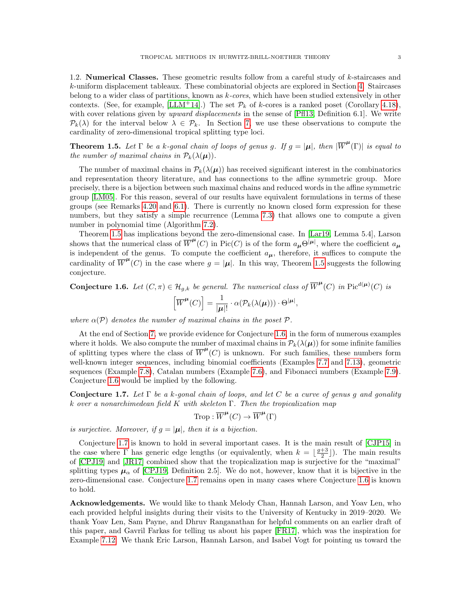1.2. Numerical Classes. These geometric results follow from a careful study of k-staircases and k-uniform displacement tableaux. These combinatorial objects are explored in Section [4.](#page-11-0) Staircases belong to a wider class of partitions, known as k-cores, which have been studied extensively in other contexts. (See, for example, [\[LLM](#page-29-11)+14].) The set  $\mathcal{P}_k$  of k-cores is a ranked poset (Corollary [4.18\)](#page-15-0), with cover relations given by upward displacements in the sense of [\[Pfl13,](#page-29-12) Definition 6.1]. We write  $\mathcal{P}_k(\lambda)$  for the interval below  $\lambda \in \mathcal{P}_k$ . In Section [7,](#page-20-0) we use these observations to compute the cardinality of zero-dimensional tropical splitting type loci.

<span id="page-2-2"></span>**Theorem 1.5.** Let  $\Gamma$  be a k-gonal chain of loops of genus g. If  $g = |\mu|$ , then  $|\overline{W}^{\mu}(\Gamma)|$  is equal to the number of maximal chains in  $\mathcal{P}_k(\lambda(\mu)).$ 

The number of maximal chains in  $\mathcal{P}_k(\lambda(\mu))$  has received significant interest in the combinatorics and representation theory literature, and has connections to the affine symmetric group. More precisely, there is a bijection between such maximal chains and reduced words in the affine symmetric group [\[LM05\]](#page-29-13). For this reason, several of our results have equivalent formulations in terms of these groups (see Remarks [4.20](#page-16-0) and [6.1\)](#page-20-1). There is currently no known closed form expression for these numbers, but they satisfy a simple recurrence (Lemma [7.3\)](#page-22-0) that allows one to compute a given number in polynomial time (Algorithm [7.2\)](#page-21-0).

Theorem [1.5](#page-2-2) has implications beyond the zero-dimensional case. In [\[Lar19,](#page-29-5) Lemma 5.4], Larson shows that the numerical class of  $\overline{W}^{\mu}(C)$  in Pic(C) is of the form  $a_{\mu}\Theta^{|\mu|}$ , where the coefficient  $a_{\mu}$ is independent of the genus. To compute the coefficient  $a_{\mu}$ , therefore, it suffices to compute the cardinality of  $\overline{W}^{\mu}(C)$  in the case where  $g = |\mu|$ . In this way, Theorem [1.5](#page-2-2) suggests the following conjecture.

<span id="page-2-0"></span>**Conjecture 1.6.** Let  $(C, \pi) \in \mathcal{H}_{g,k}$  be general. The numerical class of  $\overline{W}^{\mu}(C)$  in  $\text{Pic}^{d(\mu)}(C)$  is

$$
\left[\overline{W}^{\mu}(C)\right] = \frac{1}{|\mu|!} \cdot \alpha(\mathcal{P}_k(\lambda(\mu))) \cdot \Theta^{|\mu|},
$$

where  $\alpha(\mathcal{P})$  denotes the number of maximal chains in the poset  $\mathcal{P}$ .

At the end of Section [7,](#page-20-0) we provide evidence for Conjecture [1.6,](#page-2-0) in the form of numerous examples where it holds. We also compute the number of maximal chains in  $\mathcal{P}_k(\lambda(\mu))$  for some infinite families of splitting types where the class of  $\overline{W}^{\mu}(C)$  is unknown. For such families, these numbers form well-known integer sequences, including binomial coefficients (Examples [7.7](#page-24-0) and [7.13\)](#page-27-0), geometric sequences (Example [7.8\)](#page-24-1), Catalan numbers (Example [7.6\)](#page-23-0), and Fibonacci numbers (Example [7.9\)](#page-25-0). Conjecture [1.6](#page-2-0) would be implied by the following.

<span id="page-2-1"></span>Conjecture 1.7. Let  $\Gamma$  be a k-gonal chain of loops, and let C be a curve of genus g and gonality k over a nonarchimedean field K with skeleton  $\Gamma$ . Then the tropicalization map

$$
\text{Trop}: \overline{W}^{\mu}(C) \to \overline{W}^{\mu}(\Gamma)
$$

is surjective. Moreover, if  $g = |\mu|$ , then it is a bijection.

Conjecture [1.7](#page-2-1) is known to hold in several important cases. It is the main result of [\[CJP15\]](#page-29-14) in the case where  $\Gamma$  has generic edge lengths (or equivalently, when  $k = \lfloor \frac{g+3}{2} \rfloor$ ). The main results of [\[CPJ19\]](#page-29-6) and [\[JR17\]](#page-29-4) combined show that the tropicalization map is surjective for the "maximal" splitting types  $\mu_{\alpha}$  of [\[CPJ19,](#page-29-6) Definition 2.5]. We do not, however, know that it is bijective in the zero-dimensional case. Conjecture [1.7](#page-2-1) remains open in many cases where Conjecture [1.6](#page-2-0) is known to hold.

Acknowledgements. We would like to thank Melody Chan, Hannah Larson, and Yoav Len, who each provided helpful insights during their visits to the University of Kentucky in 2019–2020. We thank Yoav Len, Sam Payne, and Dhruv Ranganathan for helpful comments on an earlier draft of this paper, and Gavril Farkas for telling us about his paper [\[FR17\]](#page-29-15), which was the inspiration for Example [7.12.](#page-26-0) We thank Eric Larson, Hannah Larson, and Isabel Vogt for pointing us toward the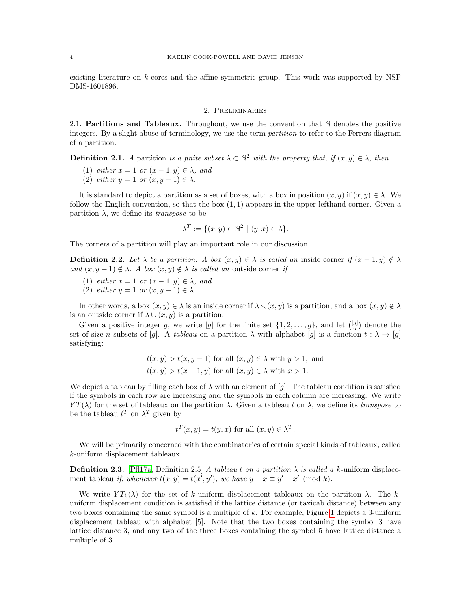existing literature on k-cores and the affine symmetric group. This work was supported by NSF DMS-1601896.

#### 2. Preliminaries

2.1. Partitions and Tableaux. Throughout, we use the convention that N denotes the positive integers. By a slight abuse of terminology, we use the term partition to refer to the Ferrers diagram of a partition.

**Definition 2.1.** A partition is a finite subset  $\lambda \subset \mathbb{N}^2$  with the property that, if  $(x, y) \in \lambda$ , then

- (1) either  $x = 1$  or  $(x 1, y) \in \lambda$ , and
- (2) either  $y = 1$  or  $(x, y 1) \in \lambda$ .

It is standard to depict a partition as a set of boxes, with a box in position  $(x, y)$  if  $(x, y) \in \lambda$ . We follow the English convention, so that the box  $(1, 1)$  appears in the upper lefthand corner. Given a partition  $\lambda$ , we define its *transpose* to be

$$
\lambda^T := \{ (x, y) \in \mathbb{N}^2 \mid (y, x) \in \lambda \}.
$$

The corners of a partition will play an important role in our discussion.

**Definition 2.2.** Let  $\lambda$  be a partition. A box  $(x, y) \in \lambda$  is called an inside corner if  $(x + 1, y) \notin \lambda$ and  $(x, y + 1) \notin \lambda$ . A box  $(x, y) \notin \lambda$  is called an outside corner if

- (1) either  $x = 1$  or  $(x 1, y) \in \lambda$ , and
- (2) either  $y = 1$  or  $(x, y 1) \in \lambda$ .

In other words, a box  $(x, y) \in \lambda$  is an inside corner if  $\lambda \setminus (x, y)$  is a partition, and a box  $(x, y) \notin \lambda$ is an outside corner if  $\lambda \cup (x, y)$  is a partition.

Given a positive integer g, we write [g] for the finite set  $\{1, 2, \ldots, g\}$ , and let  $\binom{[g]}{n}$  denote the set of size-n subsets of [g]. A tableau on a partition  $\lambda$  with alphabet [g] is a function  $t : \lambda \to [g]$ satisfying:

$$
t(x, y) > t(x, y - 1)
$$
 for all  $(x, y) \in \lambda$  with  $y > 1$ , and  

$$
t(x, y) > t(x - 1, y)
$$
 for all  $(x, y) \in \lambda$  with  $x > 1$ .

We depict a tableau by filling each box of  $\lambda$  with an element of [g]. The tableau condition is satisfied if the symbols in each row are increasing and the symbols in each column are increasing. We write  $YT(\lambda)$  for the set of tableaux on the partition  $\lambda$ . Given a tableau t on  $\lambda$ , we define its transpose to be the tableau  $t^T$  on  $\lambda^T$  given by

$$
t^T(x, y) = t(y, x)
$$
 for all  $(x, y) \in \lambda^T$ .

We will be primarily concerned with the combinatorics of certain special kinds of tableaux, called k-uniform displacement tableaux.

<span id="page-3-0"></span>**Definition 2.3.** [\[Pfl17a,](#page-29-3) Definition 2.5] A tableau t on a partition  $\lambda$  is called a k-uniform displacement tableau *if, whenever*  $t(x, y) = t(x', y')$ , we have  $y - x \equiv y' - x' \pmod{k}$ .

We write  $YT_k(\lambda)$  for the set of k-uniform displacement tableaux on the partition  $\lambda$ . The kuniform displacement condition is satisfied if the lattice distance (or taxicab distance) between any two boxes containing the same symbol is a multiple of k. For example, Figure [1](#page-4-1) depicts a 3-uniform displacement tableau with alphabet [5]. Note that the two boxes containing the symbol 3 have lattice distance 3, and any two of the three boxes containing the symbol 5 have lattice distance a multiple of 3.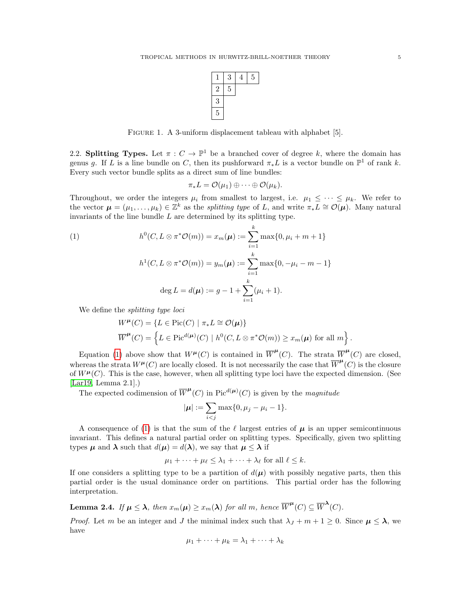

<span id="page-4-1"></span>FIGURE 1. A 3-uniform displacement tableau with alphabet [5].

<span id="page-4-0"></span>2.2. Splitting Types. Let  $\pi : C \to \mathbb{P}^1$  be a branched cover of degree k, where the domain has genus g. If L is a line bundle on C, then its pushforward  $\pi_* L$  is a vector bundle on  $\mathbb{P}^1$  of rank k. Every such vector bundle splits as a direct sum of line bundles:

$$
\pi_*L=\mathcal{O}(\mu_1)\oplus\cdots\oplus\mathcal{O}(\mu_k).
$$

Throughout, we order the integers  $\mu_i$  from smallest to largest, i.e.  $\mu_1 \leq \cdots \leq \mu_k$ . We refer to the vector  $\mu = (\mu_1, \ldots, \mu_k) \in \mathbb{Z}^k$  as the splitting type of L, and write  $\pi_* L \cong \mathcal{O}(\mu)$ . Many natural invariants of the line bundle  $L$  are determined by its splitting type.

<span id="page-4-2"></span>(1) 
$$
h^{0}(C, L \otimes \pi^{*} \mathcal{O}(m)) = x_{m}(\mu) := \sum_{i=1}^{k} \max\{0, \mu_{i} + m + 1\}
$$

$$
h^{1}(C, L \otimes \pi^{*} \mathcal{O}(m)) = y_{m}(\mu) := \sum_{i=1}^{k} \max\{0, -\mu_{i} - m - 1\}
$$

$$
\deg L = d(\mu) := g - 1 + \sum_{i=1}^{k} (\mu_{i} + 1).
$$

We define the splitting type loci

$$
W^{\mu}(C) = \{ L \in Pic(C) \mid \pi_* L \cong \mathcal{O}(\mu) \}
$$
  

$$
\overline{W}^{\mu}(C) = \left\{ L \in Pic^{d(\mu)}(C) \mid h^0(C, L \otimes \pi^* \mathcal{O}(m)) \ge x_m(\mu) \text{ for all } m \right\}.
$$

Equation [\(1\)](#page-4-2) above show that  $W^{\mu}(C)$  is contained in  $\overline{W}^{\mu}(C)$ . The strata  $\overline{W}^{\mu}(C)$  are closed, whereas the strata  $W^{\mu}(C)$  are locally closed. It is not necessarily the case that  $\overline{W}^{\mu}(C)$  is the closure of  $W^{\mu}(C)$ . This is the case, however, when all splitting type loci have the expected dimension. (See [\[Lar19,](#page-29-5) Lemma 2.1].)

The expected codimension of  $\overline{W}^{\mu}(C)$  in Pic<sup>d( $\mu$ )</sup>(C) is given by the magnitude

$$
|\boldsymbol{\mu}| := \sum_{i < j} \max\{0, \mu_j - \mu_i - 1\}.
$$

A consequence of [\(1\)](#page-4-2) is that the sum of the  $\ell$  largest entries of  $\mu$  is an upper semicontinuous invariant. This defines a natural partial order on splitting types. Specifically, given two splitting types  $\mu$  and  $\lambda$  such that  $d(\mu) = d(\lambda)$ , we say that  $\mu \leq \lambda$  if

$$
\mu_1 + \cdots + \mu_\ell \leq \lambda_1 + \cdots + \lambda_\ell
$$
 for all  $\ell \leq k$ .

If one considers a splitting type to be a partition of  $d(\mu)$  with possibly negative parts, then this partial order is the usual dominance order on partitions. This partial order has the following interpretation.

<span id="page-4-3"></span>**Lemma 2.4.** If  $\mu \leq \lambda$ , then  $x_m(\mu) \geq x_m(\lambda)$  for all m, hence  $\overline{W}^{\mu}(C) \subseteq \overline{W}^{\lambda}(C)$ .

*Proof.* Let m be an integer and J the minimal index such that  $\lambda_j + m + 1 \geq 0$ . Since  $\mu \leq \lambda$ , we have

$$
\mu_1 + \cdots + \mu_k = \lambda_1 + \cdots + \lambda_k
$$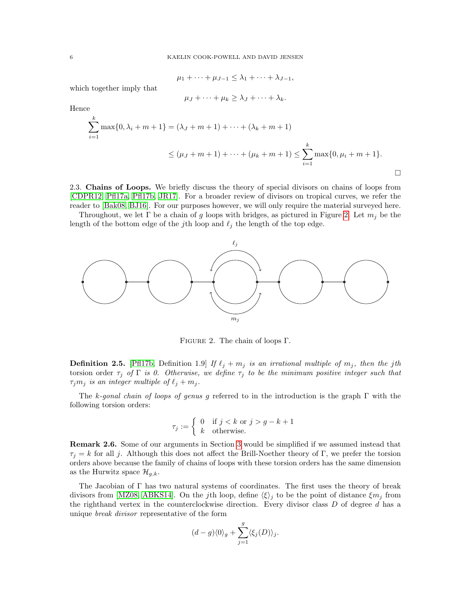$$
\mu_1 + \cdots + \mu_{J-1} \leq \lambda_1 + \cdots + \lambda_{J-1},
$$

which together imply that

$$
\mu_J+\cdots+\mu_k\geq \lambda_J+\cdots+\lambda_k.
$$

Hence

$$
\sum_{i=1}^{k} \max\{0, \lambda_i + m + 1\} = (\lambda_J + m + 1) + \dots + (\lambda_k + m + 1)
$$
  

$$
\leq (\mu_J + m + 1) + \dots + (\mu_k + m + 1) \leq \sum_{i=1}^{k} \max\{0, \mu_i + m + 1\}.
$$

<span id="page-5-0"></span>2.3. Chains of Loops. We briefly discuss the theory of special divisors on chains of loops from [\[CDPR12,](#page-28-0) [Pfl17a,](#page-29-3) [Pfl17b,](#page-29-9) [JR17\]](#page-29-4). For a broader review of divisors on tropical curves, we refer the reader to [\[Bak08,](#page-28-1) [BJ16\]](#page-28-2). For our purposes however, we will only require the material surveyed here.

Throughout, we let  $\Gamma$  be a chain of g loops with bridges, as pictured in Figure [2.](#page-5-1) Let  $m_j$  be the length of the bottom edge of the jth loop and  $\ell_j$  the length of the top edge.



<span id="page-5-1"></span>Figure 2. The chain of loops Γ.

**Definition 2.5.** [\[Pfl17b,](#page-29-9) Definition 1.9] If  $\ell_j + m_j$  is an irrational multiple of  $m_j$ , then the jth torsion order  $\tau_j$  of  $\Gamma$  is 0. Otherwise, we define  $\tau_j$  to be the minimum positive integer such that  $\tau_j m_j$  is an integer multiple of  $\ell_j + m_j$ .

The k-gonal chain of loops of genus g referred to in the introduction is the graph  $\Gamma$  with the following torsion orders:

$$
\tau_j := \begin{cases} 0 & \text{if } j < k \text{ or } j > g - k + 1 \\ k & \text{otherwise.} \end{cases}
$$

Remark 2.6. Some of our arguments in Section [3](#page-7-1) would be simplified if we assumed instead that  $\tau_j = k$  for all j. Although this does not affect the Brill-Noether theory of Γ, we prefer the torsion orders above because the family of chains of loops with these torsion orders has the same dimension as the Hurwitz space  $\mathcal{H}_{g,k}$ .

The Jacobian of  $\Gamma$  has two natural systems of coordinates. The first uses the theory of break divisors from [\[MZ08,](#page-29-16) [ABKS14\]](#page-28-3). On the jth loop, define  $\langle \xi \rangle_i$  to be the point of distance  $\xi m_i$  from the righthand vertex in the counterclockwise direction. Every divisor class  $D$  of degree  $d$  has a unique break divisor representative of the form

$$
(d-g)\langle 0\rangle_g+\sum_{j=1}^g\langle \xi_j(D)\rangle_j.
$$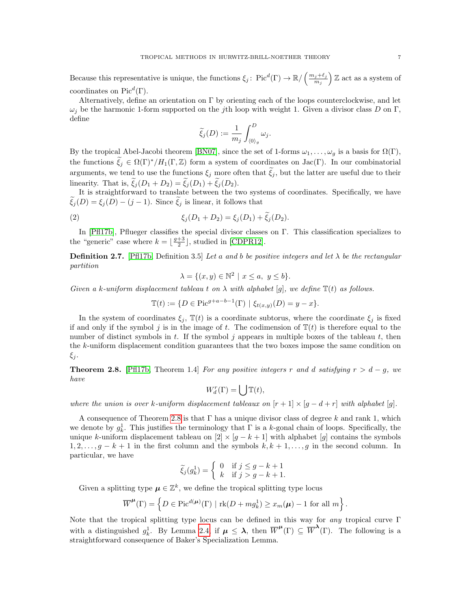Because this representative is unique, the functions  $\xi_j$ : Pic<sup>d</sup>(Γ)  $\to \mathbb{R}/\left(\frac{m_j+\ell_j}{m_j}\right)$  $\left(\frac{j+\ell_j}{m_j}\right)\mathbb{Z}$  act as a system of coordinates on Pic<sup> $d$ </sup>(Γ).

Alternatively, define an orientation on Γ by orienting each of the loops counterclockwise, and let  $\omega_j$  be the harmonic 1-form supported on the jth loop with weight 1. Given a divisor class D on Γ, define

$$
\widetilde{\xi}_j(D):=\frac{1}{m_j}\int_{\langle 0\rangle_g}^D\omega_j.
$$

By the tropical Abel-Jacobi theorem [\[BN07\]](#page-28-4), since the set of 1-forms  $\omega_1, \ldots, \omega_g$  is a basis for  $\Omega(\Gamma)$ , the functions  $\tilde{\xi}_i \in \Omega(\Gamma)^*/H_1(\Gamma,\mathbb{Z})$  form a system of coordinates on Jac(Γ). In our combinatorial arguments, we tend to use the functions  $\xi_j$  more often that  $\tilde{\xi}_j$ , but the latter are useful due to their linearity. That is,  $\xi_i(D_1 + D_2) = \xi_i(D_1) + \xi_i(D_2)$ .

It is straightforward to translate between the two systems of coordinates. Specifically, we have  $\widetilde{\xi}_j(D) = \xi_j(D) - (j-1)$ . Since  $\widetilde{\xi}_j$  is linear, it follows that

<span id="page-6-1"></span>(2) 
$$
\xi_j(D_1 + D_2) = \xi_j(D_1) + \tilde{\xi}_j(D_2).
$$

In [\[Pfl17b\]](#page-29-9), Pflueger classifies the special divisor classes on Γ. This classification specializes to the "generic" case where  $k = \lfloor \frac{g+3}{2} \rfloor$ , studied in [\[CDPR12\]](#page-28-0).

<span id="page-6-2"></span>**Definition 2.7.** [\[Pfl17b,](#page-29-9) Definition 3.5] Let a and b be positive integers and let  $\lambda$  be the rectangular partition

$$
\lambda = \{(x, y) \in \mathbb{N}^2 \mid x \le a, y \le b\}.
$$

Given a k-uniform displacement tableau t on  $\lambda$  with alphabet [q], we define  $\mathbb{T}(t)$  as follows.

$$
\mathbb{T}(t) := \{ D \in \text{Pic}^{g+a-b-1}(\Gamma) \mid \xi_{t(x,y)}(D) = y - x \}.
$$

In the system of coordinates  $\xi_j$ ,  $\mathbb{T}(t)$  is a coordinate subtorus, where the coordinate  $\xi_j$  is fixed if and only if the symbol j is in the image of t. The codimension of  $\mathbb{T}(t)$  is therefore equal to the number of distinct symbols in t. If the symbol  $j$  appears in multiple boxes of the tableau t, then the k-uniform displacement condition guarantees that the two boxes impose the same condition on  $\xi_j$ .

<span id="page-6-0"></span>**Theorem 2.8.** [\[Pfl17b,](#page-29-9) Theorem 1.4] For any positive integers r and d satisfying  $r > d - g$ , we have

$$
W_d^r(\Gamma) = \bigcup \mathbb{T}(t),
$$

where the union is over k-uniform displacement tableaux on  $[r+1] \times [q-d+r]$  with alphabet [g].

A consequence of Theorem [2.8](#page-6-0) is that  $\Gamma$  has a unique divisor class of degree k and rank 1, which we denote by  $g_k^1$ . This justifies the terminology that  $\Gamma$  is a k-gonal chain of loops. Specifically, the unique k-uniform displacement tableau on  $[2] \times [g - k + 1]$  with alphabet  $[g]$  contains the symbols  $1, 2, \ldots, g - k + 1$  in the first column and the symbols  $k, k + 1, \ldots, g$  in the second column. In particular, we have

$$
\widetilde{\xi}_j(g_k^1) = \begin{cases} 0 & \text{if } j \le g - k + 1 \\ k & \text{if } j > g - k + 1. \end{cases}
$$

Given a splitting type  $\mu \in \mathbb{Z}^k$ , we define the tropical splitting type locus

$$
\overline{W}^{\mu}(\Gamma) = \left\{ D \in \text{Pic}^{d(\mu)}(\Gamma) \mid \text{rk}(D + m g_k^1) \ge x_m(\mu) - 1 \text{ for all } m \right\}.
$$

Note that the tropical splitting type locus can be defined in this way for *any* tropical curve  $\Gamma$ with a distinguished  $g_k^1$ . By Lemma [2.4,](#page-4-3) if  $\mu \leq \lambda$ , then  $\overline{W}^{\mu}(\Gamma) \subseteq \overline{W}^{\lambda}(\Gamma)$ . The following is a straightforward consequence of Baker's Specialization Lemma.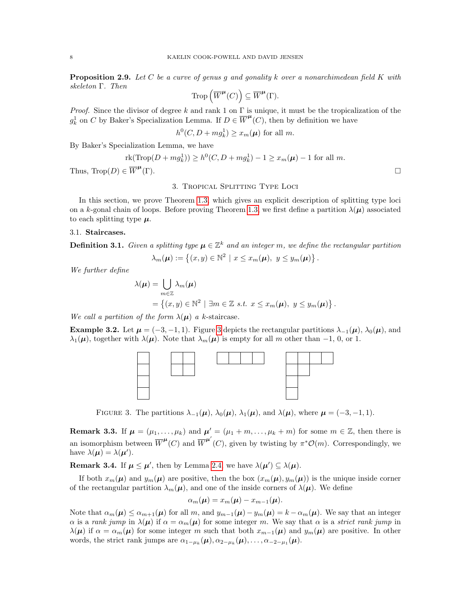<span id="page-7-3"></span>**Proposition 2.9.** Let C be a curve of genus q and gonality k over a nonarchimedean field K with skeleton Γ. Then

$$
\operatorname{Trop}\left(\overline{W}^{\mu}(C)\right) \subseteq \overline{W}^{\mu}(\Gamma).
$$

*Proof.* Since the divisor of degree k and rank 1 on  $\Gamma$  is unique, it must be the tropicalization of the  $g_k^1$  on C by Baker's Specialization Lemma. If  $D \in \overline{W}^{\mu}(C)$ , then by definition we have

$$
h^0(C, D + m g_k^1) \ge x_m(\boldsymbol{\mu})
$$
 for all m.

By Baker's Specialization Lemma, we have

$$
rk(Trop(D + mg_k^1)) \ge h^0(C, D + mg_k^1) - 1 \ge x_m(\mu) - 1
$$
 for all m.

<span id="page-7-1"></span>Thus,  $\text{Trop}(D) \in \overline{W}^{\mu}$ (Γ).

### 3. Tropical Splitting Type Loci

In this section, we prove Theorem [1.3,](#page-1-1) which gives an explicit description of splitting type loci on a k-gonal chain of loops. Before proving Theorem [1.3,](#page-1-1) we first define a partition  $\lambda(\mu)$  associated to each splitting type  $\mu$ .

## 3.1. Staircases.

<span id="page-7-0"></span>**Definition 3.1.** Given a splitting type  $\mu \in \mathbb{Z}^k$  and an integer m, we define the rectangular partition

$$
\lambda_m(\boldsymbol{\mu}) := \left\{ (x, y) \in \mathbb{N}^2 \mid x \leq x_m(\boldsymbol{\mu}), \ y \leq y_m(\boldsymbol{\mu}) \right\}.
$$

We further define

$$
\lambda(\boldsymbol{\mu}) = \bigcup_{m \in \mathbb{Z}} \lambda_m(\boldsymbol{\mu})
$$
  
= { $(x, y) \in \mathbb{N}^2$  |  $\exists m \in \mathbb{Z} \ s.t. \ x \leq x_m(\boldsymbol{\mu}), \ y \leq y_m(\boldsymbol{\mu})$  }.

We call a partition of the form  $\lambda(\mu)$  a k-staircase.

**Example [3](#page-7-2).2.** Let  $\mu = (-3, -1, 1)$ . Figure 3 depicts the rectangular partitions  $\lambda_{-1}(\mu)$ ,  $\lambda_0(\mu)$ , and  $\lambda_1(\mu)$ , together with  $\lambda(\mu)$ . Note that  $\lambda_m(\mu)$  is empty for all m other than -1, 0, or 1.



<span id="page-7-2"></span>FIGURE 3. The partitions  $\lambda_{-1}(\mu)$ ,  $\lambda_0(\mu)$ ,  $\lambda_1(\mu)$ , and  $\lambda(\mu)$ , where  $\mu = (-3, -1, 1)$ .

**Remark 3.3.** If  $\mu = (\mu_1, \ldots, \mu_k)$  and  $\mu' = (\mu_1 + m, \ldots, \mu_k + m)$  for some  $m \in \mathbb{Z}$ , then there is an isomorphism between  $\overline{W}^{\mu}(C)$  and  $\overline{W}^{\mu'}(C)$ , given by twisting by  $\pi^* \mathcal{O}(m)$ . Correspondingly, we have  $\lambda(\mu) = \lambda(\mu').$ 

**Remark 3.4.** If  $\mu \leq \mu'$ , then by Lemma [2.4,](#page-4-3) we have  $\lambda(\mu') \subseteq \lambda(\mu)$ .

If both  $x_m(\mu)$  and  $y_m(\mu)$  are positive, then the box  $(x_m(\mu), y_m(\mu))$  is the unique inside corner of the rectangular partition  $\lambda_m(\mu)$ , and one of the inside corners of  $\lambda(\mu)$ . We define

$$
\alpha_m(\boldsymbol{\mu})=x_m(\boldsymbol{\mu})-x_{m-1}(\boldsymbol{\mu}).
$$

Note that  $\alpha_m(\mu) \leq \alpha_{m+1}(\mu)$  for all m, and  $y_{m-1}(\mu) - y_m(\mu) = k - \alpha_m(\mu)$ . We say that an integer  $\alpha$  is a rank jump in  $\lambda(\mu)$  if  $\alpha = \alpha_m(\mu)$  for some integer m. We say that  $\alpha$  is a strict rank jump in  $\lambda(\mu)$  if  $\alpha = \alpha_m(\mu)$  for some integer m such that both  $x_{m-1}(\mu)$  and  $y_m(\mu)$  are positive. In other words, the strict rank jumps are  $\alpha_{1-\mu_k}(\mu), \alpha_{2-\mu_k}(\mu), \ldots, \alpha_{-2-\mu_1}(\mu)$ .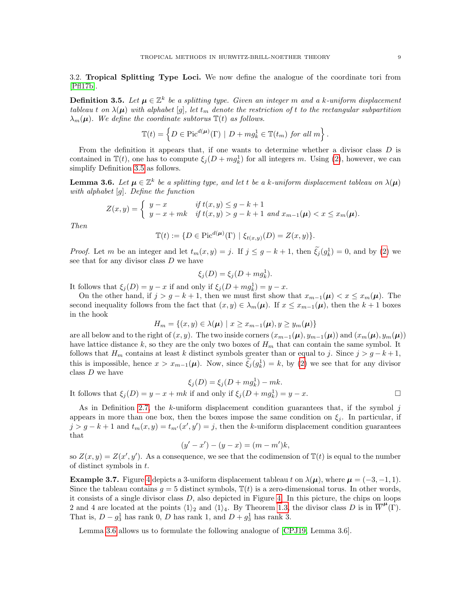3.2. Tropical Splitting Type Loci. We now define the analogue of the coordinate tori from [\[Pfl17b\]](#page-29-9).

<span id="page-8-0"></span>**Definition 3.5.** Let  $\mu \in \mathbb{Z}^k$  be a splitting type. Given an integer m and a k-uniform displacement tableau t on  $\lambda(\mu)$  with alphabet [g], let  $t_m$  denote the restriction of t to the rectangular subpartition  $\lambda_m(\mu)$ . We define the coordinate subtorus  $\mathbb{T}(t)$  as follows.

$$
\mathbb{T}(t) = \left\{ D \in \text{Pic}^{d(\boldsymbol{\mu})}(\Gamma) \mid D + m g_k^1 \in \mathbb{T}(t_m) \text{ for all } m \right\}.
$$

From the definition it appears that, if one wants to determine whether a divisor class D is contained in  $\mathbb{T}(t)$ , one has to compute  $\xi_j(D + m g_k^1)$  for all integers m. Using [\(2\)](#page-6-1), however, we can simplify Definition [3.5](#page-8-0) as follows.

<span id="page-8-1"></span>**Lemma 3.6.** Let  $\mu \in \mathbb{Z}^k$  be a splitting type, and let t be a k-uniform displacement tableau on  $\lambda(\mu)$ with alphabet [g]. Define the function

$$
Z(x,y) = \begin{cases} y-x & \text{if } t(x,y) \le g-k+1 \\ y-x+mk & \text{if } t(x,y) > g-k+1 \text{ and } x_{m-1}(\boldsymbol{\mu}) < x \le x_m(\boldsymbol{\mu}). \end{cases}
$$

Then

$$
\mathbb{T}(t) := \{ D \in \text{Pic}^{d(\boldsymbol{\mu})}(\Gamma) \mid \xi_{t(x,y)}(D) = Z(x,y) \}.
$$

*Proof.* Let m be an integer and let  $t_m(x, y) = j$ . If  $j \le g - k + 1$ , then  $\xi_j(g_k^1) = 0$ , and by [\(2\)](#page-6-1) we see that for any divisor class  $D$  we have

$$
\xi_j(D) = \xi_j(D + mg_k^1).
$$

It follows that  $\xi_j(D) = y - x$  if and only if  $\xi_j(D + m g_k^1) = y - x$ .

On the other hand, if  $j > g - k + 1$ , then we must first show that  $x_{m-1}(\mu) < x \leq x_m(\mu)$ . The second inequality follows from the fact that  $(x, y) \in \lambda_m(\mu)$ . If  $x \leq x_{m-1}(\mu)$ , then the  $k+1$  boxes in the hook

$$
H_m = \{(x, y) \in \lambda(\boldsymbol{\mu}) \mid x \ge x_{m-1}(\boldsymbol{\mu}), y \ge y_m(\boldsymbol{\mu})\}
$$

are all below and to the right of  $(x, y)$ . The two inside corners  $(x_{m-1}(\mu), y_{m-1}(\mu))$  and  $(x_m(\mu), y_m(\mu))$ have lattice distance k, so they are the only two boxes of  $H_m$  that can contain the same symbol. It follows that  $H_m$  contains at least k distinct symbols greater than or equal to j. Since  $j > g - k + 1$ , this is impossible, hence  $x > x_{m-1}(\mu)$ . Now, since  $\tilde{\zeta}_j(g_k^1) = k$ , by [\(2\)](#page-6-1) we see that for any divisor class  $D$  we have

$$
\xi_j(D) = \xi_j(D + mg_k^1) - mk.
$$
  
It follows that  $\xi_j(D) = y - x + mk$  if and only if  $\xi_j(D + mg_k^1) = y - x$ .

As in Definition [2.7,](#page-6-2) the k-uniform displacement condition guarantees that, if the symbol  $j$ appears in more than one box, then the boxes impose the same condition on  $\xi_i$ . In particular, if  $j > g - k + 1$  and  $t_m(x, y) = t_{m'}(x', y') = j$ , then the k-uniform displacement condition guarantees that

$$
(y' - x') - (y - x) = (m - m')k,
$$

so  $Z(x, y) = Z(x', y')$ . As a consequence, we see that the codimension of  $T(t)$  is equal to the number of distinct symbols in t.

**Example 3.7.** Figure [4](#page-9-0) depicts a 3-uniform displacement tableau t on  $\lambda(\mu)$ , where  $\mu = (-3, -1, 1)$ . Since the tableau contains  $q = 5$  distinct symbols,  $\mathbb{T}(t)$  is a zero-dimensional torus. In other words, it consists of a single divisor class  $D$ , also depicted in Figure [4.](#page-9-0) In this picture, the chips on loops 2 and 4 are located at the points  $\langle 1 \rangle_2$  and  $\langle 1 \rangle_4$ . By Theorem [1.3,](#page-1-1) the divisor class D is in  $\overline{W}^{\mu}(\Gamma)$ . That is,  $D - g_3^1$  has rank 0, D has rank 1, and  $D + g_3^1$  has rank 3.

Lemma [3.6](#page-8-1) allows us to formulate the following analogue of [\[CPJ19,](#page-29-6) Lemma 3.6].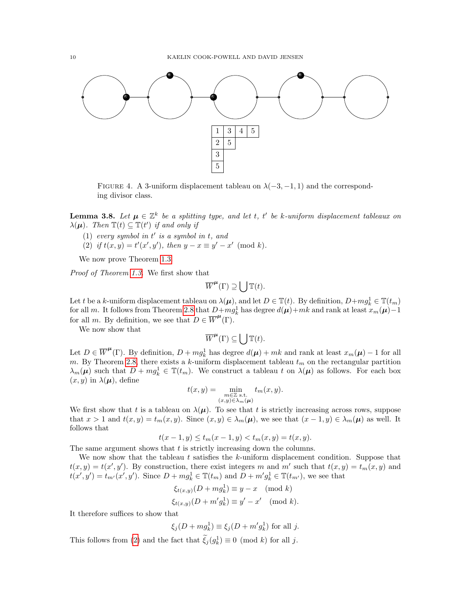

<span id="page-9-0"></span>FIGURE 4. A 3-uniform displacement tableau on  $\lambda(-3, -1, 1)$  and the corresponding divisor class.

<span id="page-9-1"></span>**Lemma 3.8.** Let  $\mu \in \mathbb{Z}^k$  be a splitting type, and let t, t' be k-uniform displacement tableaux on  $\lambda(\mu)$ . Then  $\mathbb{T}(t) \subseteq \mathbb{T}(t')$  if and only if

- $(1)$  every symbol in t' is a symbol in t, and
- (2) if  $t(x, y) = t'(x', y')$ , then  $y x \equiv y' x' \pmod{k}$ .

We now prove Theorem [1.3.](#page-1-1)

Proof of Theorem [1.3.](#page-1-1) We first show that

$$
\overline{W}^{\mu}(\Gamma) \supseteq \bigcup \mathbb{T}(t).
$$

Let t be a k-uniform displacement tableau on  $\lambda(\mu)$ , and let  $D \in \mathbb{T}(t)$ . By definition,  $D+mg_k^1 \in \mathbb{T}(t_m)$ for all m. It follows from Theorem [2.8](#page-6-0) that  $D+mg_k^1$  has degree  $d(\mu)+mk$  and rank at least  $x_m(\mu)-1$ for all m. By definition, we see that  $D \in \overline{W}^{\mu}(\Gamma)$ .

We now show that

$$
\overline{W}^{\mu}(\Gamma) \subseteq \bigcup \mathbb{T}(t).
$$

Let  $D \in \overline{W}^{\mu}(\Gamma)$ . By definition,  $D + m g_k^1$  has degree  $d(\mu) + mk$  and rank at least  $x_m(\mu) - 1$  for all m. By Theorem [2.8,](#page-6-0) there exists a k-uniform displacement tableau  $t_m$  on the rectangular partition  $\lambda_m(\mu)$  such that  $D + m g_k^1 \in \mathbb{T}(t_m)$ . We construct a tableau t on  $\lambda(\mu)$  as follows. For each box  $(x, y)$  in  $\lambda(\mu)$ , define

$$
t(x,y) = \min_{\substack{m \in \mathbb{Z} \text{ s.t.} \\ (x,y) \in \lambda_m(\boldsymbol{\mu})}} t_m(x,y).
$$

We first show that t is a tableau on  $\lambda(\mu)$ . To see that t is strictly increasing across rows, suppose that  $x > 1$  and  $t(x, y) = t_m(x, y)$ . Since  $(x, y) \in \lambda_m(\mu)$ , we see that  $(x - 1, y) \in \lambda_m(\mu)$  as well. It follows that

$$
t(x-1,y) \le t_m(x-1,y) < t_m(x,y) = t(x,y).
$$

The same argument shows that  $t$  is strictly increasing down the columns.

We now show that the tableau t satisfies the k-uniform displacement condition. Suppose that  $t(x, y) = t(x', y')$ . By construction, there exist integers m and m' such that  $t(x, y) = t_m(x, y)$  and  $t(x', y') = t_{m'}(x', y')$ . Since  $D + m g_k^1 \in \mathbb{T}(t_m)$  and  $D + m' g_k^1 \in \mathbb{T}(t_{m'}),$  we see that

$$
\xi_{t(x,y)}(D + mg_k^1) \equiv y - x \pmod{k}
$$
  

$$
\xi_{t(x,y)}(D + m'g_k^1) \equiv y' - x' \pmod{k}.
$$

It therefore suffices to show that

$$
\xi_j(D + m g_k^1) \equiv \xi_j(D + m' g_k^1)
$$
 for all j.

This follows from [\(2\)](#page-6-1) and the fact that  $\tilde{\xi}_j(g_k^1) \equiv 0 \pmod{k}$  for all j.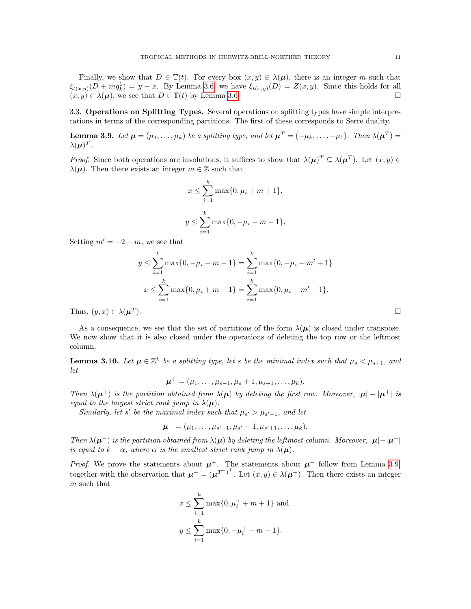Finally, we show that  $D \in \mathbb{T}(t)$ . For every box  $(x, y) \in \lambda(\mu)$ , there is an integer m such that  $\xi_{t(x,y)}(D+mg_k^1) = y - x$ . By Lemma [3.6,](#page-8-1) we have  $\xi_{t(x,y)}(D) = Z(x,y)$ . Since this holds for all  $(x, y) \in \lambda(\mu)$ , we see that  $D \in \mathbb{T}(t)$  by Lemma [3.6.](#page-8-1)

3.3. Operations on Splitting Types. Several operations on splitting types have simple interpretations in terms of the corresponding partitions. The first of these corresponds to Serre duality.

<span id="page-10-0"></span>**Lemma 3.9.** Let  $\mu = (\mu_1, \ldots, \mu_k)$  be a splitting type, and let  $\mu^T = (-\mu_k, \ldots, -\mu_1)$ . Then  $\lambda(\mu^T) =$  $\lambda(\mu)^T$ .

*Proof.* Since both operations are involutions, it suffices to show that  $\lambda(\mu)^T \subseteq \lambda(\mu^T)$ . Let  $(x, y) \in$  $\lambda(\mu)$ . Then there exists an integer  $m \in \mathbb{Z}$  such that

$$
x \le \sum_{i=1}^{k} \max\{0, \mu_i + m + 1\},
$$
  

$$
y \le \sum_{i=1}^{k} \max\{0, -\mu_i - m - 1\}.
$$

Setting  $m' = -2 - m$ , we see that

$$
y \le \sum_{i=1}^{k} \max\{0, -\mu_i - m - 1\} = \sum_{i=1}^{k} \max\{0, -\mu_i + m' + 1\}
$$
  

$$
x \le \sum_{i=1}^{k} \max\{0, \mu_i + m + 1\} = \sum_{i=1}^{k} \max\{0, \mu_i - m' - 1\}.
$$
  

$$
u^T
$$
).

Thus,  $(y, x) \in \lambda(\mu^T)$ 

As a consequence, we see that the set of partitions of the form  $\lambda(\mu)$  is closed under transpose. We now show that it is also closed under the operations of deleting the top row or the leftmost column.

<span id="page-10-1"></span>**Lemma 3.10.** Let  $\mu \in \mathbb{Z}^k$  be a splitting type, let s be the minimal index such that  $\mu_s < \mu_{s+1}$ , and let

$$
\mu^+ = (\mu_1, \ldots, \mu_{s-1}, \mu_s + 1, \mu_{s+1}, \ldots, \mu_k).
$$

Then  $\lambda(\mu^+)$  is the partition obtained from  $\lambda(\mu)$  by deleting the first row. Moreover,  $|\mu| - |\mu^+|$  is equal to the largest strict rank jump in  $\lambda(\mu)$ .

Similarly, let s' be the maximal index such that  $\mu_{s'} > \mu_{s'-1}$ , and let

$$
\boldsymbol{\mu}^- = (\mu_1, \ldots, \mu_{s'-1}, \mu_{s'} - 1, \mu_{s'+1}, \ldots, \mu_k).
$$

Then  $\lambda(\mu^-)$  is the partition obtained from  $\lambda(\mu)$  by deleting the leftmost column. Moreover,  $|\mu| - |\mu^+|$ is equal to  $k - \alpha$ , where  $\alpha$  is the smallest strict rank jump in  $\lambda(\mu)$ .

*Proof.* We prove the statements about  $\mu^+$ . The statements about  $\mu^-$  follow from Lemma [3.9,](#page-10-0) together with the observation that  $\mu^- = (\mu^{T^+})^T$ . Let  $(x, y) \in \lambda(\mu^+)$ . Then there exists an integer m such that

$$
x \le \sum_{i=1}^{k} \max\{0, \mu_i^+ + m + 1\} \text{ and}
$$
  

$$
y \le \sum_{i=1}^{k} \max\{0, -\mu_i^+ - m - 1\}.
$$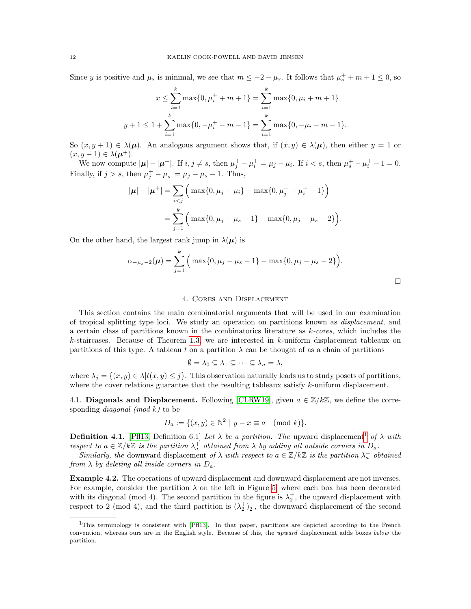Since y is positive and  $\mu_s$  is minimal, we see that  $m \leq -2 - \mu_s$ . It follows that  $\mu_s^+ + m + 1 \leq 0$ , so

$$
x \le \sum_{i=1}^{k} \max\{0, \mu_i^+ + m + 1\} = \sum_{i=1}^{k} \max\{0, \mu_i + m + 1\}
$$
  

$$
y + 1 \le 1 + \sum_{i=1}^{k} \max\{0, -\mu_i^+ - m - 1\} = \sum_{i=1}^{k} \max\{0, -\mu_i - m - 1\}.
$$

So  $(x, y + 1) \in \lambda(\mu)$ . An analogous argument shows that, if  $(x, y) \in \lambda(\mu)$ , then either  $y = 1$  or  $(x, y-1) \in \lambda(\mu^+).$ 

We now compute  $|\mu| - |\mu^+|$ . If  $i, j \neq s$ , then  $\mu_j^+ - \mu_i^+ = \mu_j - \mu_i$ . If  $i < s$ , then  $\mu_s^+ - \mu_i^+ - 1 = 0$ . Finally, if  $j > s$ , then  $\mu_j^+ - \mu_s^+ = \mu_j - \mu_s - 1$ . Thus,

$$
|\boldsymbol{\mu}| - |\boldsymbol{\mu}^+| = \sum_{i < j} \left( \max\{0, \mu_j - \mu_i\} - \max\{0, \mu_j^+ - \mu_i^+ - 1\} \right)
$$
\n
$$
= \sum_{j=1}^k \left( \max\{0, \mu_j - \mu_s - 1\} - \max\{0, \mu_j - \mu_s - 2\} \right).
$$

On the other hand, the largest rank jump in  $\lambda(\mu)$  is

$$
\alpha_{-\mu_s - 2}(\mu) = \sum_{j=1}^k \Big( \max\{0, \mu_j - \mu_s - 1\} - \max\{0, \mu_j - \mu_s - 2\} \Big).
$$

#### 4. Cores and Displacement

<span id="page-11-0"></span>This section contains the main combinatorial arguments that will be used in our examination of tropical splitting type loci. We study an operation on partitions known as displacement, and a certain class of partitions known in the combinatorics literature as  $k$ -cores, which includes the k-staircases. Because of Theorem [1.3,](#page-1-1) we are interested in  $k$ -uniform displacement tableaux on partitions of this type. A tableau t on a partition  $\lambda$  can be thought of as a chain of partitions

$$
\emptyset = \lambda_0 \subseteq \lambda_1 \subseteq \cdots \subseteq \lambda_n = \lambda,
$$

where  $\lambda_j = \{(x, y) \in \lambda | t(x, y) \leq j\}$ . This observation naturally leads us to study posets of partitions, where the cover relations guarantee that the resulting tableaux satisfy k-uniform displacement.

4.1. Diagonals and Displacement. Following [\[CLRW19\]](#page-29-8), given  $a \in \mathbb{Z}/k\mathbb{Z}$ , we define the corresponding *diagonal* (mod  $k$ ) to be

$$
D_a := \{(x, y) \in \mathbb{N}^2 \mid y - x \equiv a \pmod{k}\}.
$$

**Definition 4.[1](#page-11-1).** [\[Pfl13,](#page-29-12) Definition 6.1] Let  $\lambda$  be a partition. The upward displacement<sup>1</sup> of  $\lambda$  with respect to  $a \in \mathbb{Z}/k\mathbb{Z}$  is the partition  $\lambda_a^+$  obtained from  $\lambda$  by adding all outside corners in  $D_a$ .

Similarly, the downward displacement of  $\lambda$  with respect to  $a \in \mathbb{Z}/k\mathbb{Z}$  is the partition  $\lambda_a^-$  obtained from  $\lambda$  by deleting all inside corners in  $D_a$ .

Example 4.2. The operations of upward displacement and downward displacement are not inverses. For example, consider the partition  $\lambda$  on the left in Figure [5,](#page-12-0) where each box has been decorated with its diagonal (mod 4). The second partition in the figure is  $\lambda_2^+$ , the upward displacement with respect to 2 (mod 4), and the third partition is  $(\lambda_2^+)_2^-$ , the downward displacement of the second

<span id="page-11-1"></span><sup>&</sup>lt;sup>1</sup>This terminology is consistent with [\[Pfl13\]](#page-29-12). In that paper, partitions are depicted according to the French convention, whereas ours are in the English style. Because of this, the upward displacement adds boxes below the partition.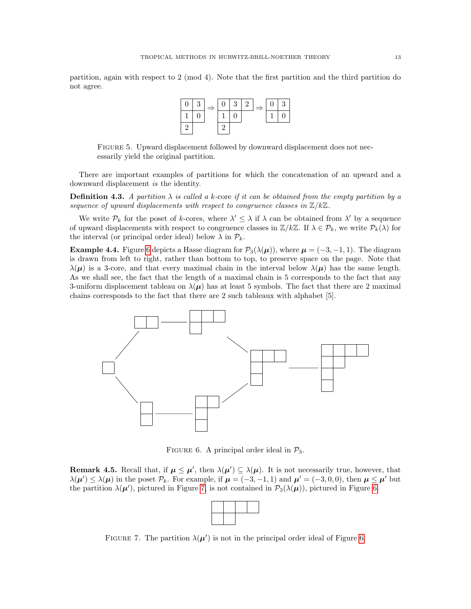partition, again with respect to 2 (mod 4). Note that the first partition and the third partition do not agree.



<span id="page-12-0"></span>Figure 5. Upward displacement followed by downward displacement does not necessarily yield the original partition.

There are important examples of partitions for which the concatenation of an upward and a downward displacement is the identity.

**Definition 4.3.** A partition  $\lambda$  is called a k-core if it can be obtained from the empty partition by a sequence of upward displacements with respect to congruence classes in  $\mathbb{Z}/k\mathbb{Z}$ .

We write  $\mathcal{P}_k$  for the poset of k-cores, where  $\lambda' \leq \lambda$  if  $\lambda$  can be obtained from  $\lambda'$  by a sequence of upward displacements with respect to congruence classes in  $\mathbb{Z}/k\mathbb{Z}$ . If  $\lambda \in \mathcal{P}_k$ , we write  $\mathcal{P}_k(\lambda)$  for the interval (or principal order ideal) below  $\lambda$  in  $\mathcal{P}_k$ .

**Example 4.4.** Figure [6](#page-12-1) depicts a Hasse diagram for  $\mathcal{P}_3(\lambda(\mu))$ , where  $\mu = (-3, -1, 1)$ . The diagram is drawn from left to right, rather than bottom to top, to preserve space on the page. Note that  $\lambda(\mu)$  is a 3-core, and that every maximal chain in the interval below  $\lambda(\mu)$  has the same length. As we shall see, the fact that the length of a maximal chain is 5 corresponds to the fact that any 3-uniform displacement tableau on  $\lambda(\mu)$  has at least 5 symbols. The fact that there are 2 maximal chains corresponds to the fact that there are 2 such tableaux with alphabet [5].



<span id="page-12-1"></span>FIGURE 6. A principal order ideal in  $\mathcal{P}_3$ .

**Remark 4.5.** Recall that, if  $\mu \leq \mu'$ , then  $\lambda(\mu') \subseteq \lambda(\mu)$ . It is not necessarily true, however, that  $\lambda(\mu') \leq \lambda(\mu)$  in the poset  $\mathcal{P}_k$ . For example, if  $\mu = (-3, -1, 1)$  and  $\mu' = (-3, 0, 0)$ , then  $\mu \leq \mu'$  but the partition  $\lambda(\mu')$ , pictured in Figure [7,](#page-12-2) is not contained in  $\mathcal{P}_3(\lambda(\mu))$ , pictured in Figure [6.](#page-12-1)

<span id="page-12-2"></span>FIGURE 7. The partition  $\lambda(\mu')$  is not in the principal order ideal of Figure [6.](#page-12-1)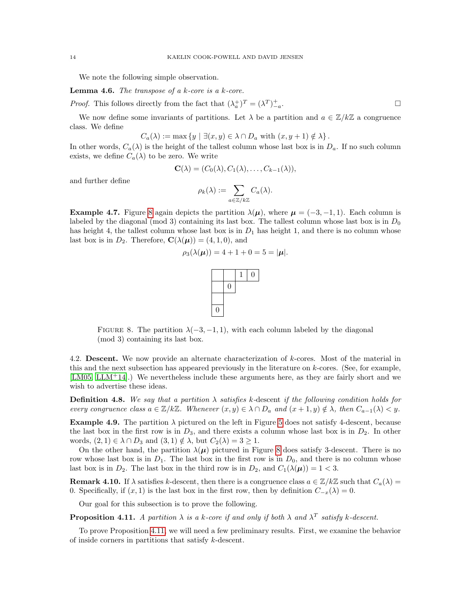We note the following simple observation.

<span id="page-13-2"></span>**Lemma 4.6.** The transpose of a  $k$ -core is a  $k$ -core.

*Proof.* This follows directly from the fact that  $(\lambda_a^+)^T = (\lambda^T)^+_{-a}$ . — Первый профессиональный профессиональный профессиональный профессиональный профессиональный профессиональн<br>В 1990 году в 1990 году в 1990 году в 1990 году в 1990 году в 1990 году в 1990 году в 1990 году в 1990 году в<br>

We now define some invariants of partitions. Let  $\lambda$  be a partition and  $a \in \mathbb{Z}/k\mathbb{Z}$  a congruence class. We define

$$
C_a(\lambda) := \max \{ y \mid \exists (x, y) \in \lambda \cap D_a \text{ with } (x, y + 1) \notin \lambda \}.
$$

In other words,  $C_a(\lambda)$  is the height of the tallest column whose last box is in  $D_a$ . If no such column exists, we define  $C_a(\lambda)$  to be zero. We write

$$
\mathbf{C}(\lambda)=(C_0(\lambda),C_1(\lambda),\ldots,C_{k-1}(\lambda)),
$$

and further define

$$
\rho_k(\lambda) := \sum_{a \in \mathbb{Z}/k\mathbb{Z}} C_a(\lambda).
$$

**Example 4.7.** Figure [8](#page-13-0) again depicts the partition  $\lambda(\mu)$ , where  $\mu = (-3, -1, 1)$ . Each column is labeled by the diagonal (mod 3) containing its last box. The tallest column whose last box is in  $D_0$ has height 4, the tallest column whose last box is in  $D_1$  has height 1, and there is no column whose last box is in  $D_2$ . Therefore,  $\mathbf{C}(\lambda(\mu)) = (4, 1, 0)$ , and

$$
\rho_3(\lambda(\mu)) = 4 + 1 + 0 = 5 = |\mu|.
$$



<span id="page-13-0"></span>FIGURE 8. The partition  $\lambda(-3, -1, 1)$ , with each column labeled by the diagonal (mod 3) containing its last box.

4.2. Descent. We now provide an alternate characterization of k-cores. Most of the material in this and the next subsection has appeared previously in the literature on k-cores. (See, for example, [\[LM05,](#page-29-13) [LLM](#page-29-11)<sup>+</sup>14].) We nevertheless include these arguments here, as they are fairly short and we wish to advertise these ideas.

**Definition 4.8.** We say that a partition  $\lambda$  satisfies k-descent if the following condition holds for every congruence class  $a \in \mathbb{Z}/k\mathbb{Z}$ . Whenever  $(x, y) \in \lambda \cap D_a$  and  $(x + 1, y) \notin \lambda$ , then  $C_{a-1}(\lambda) < y$ .

**Example 4.9.** The partition  $\lambda$  pictured on the left in Figure [5](#page-12-0) does not satisfy 4-descent, because the last box in the first row is in  $D_3$ , and there exists a column whose last box is in  $D_2$ . In other words,  $(2, 1) \in \lambda \cap D_3$  and  $(3, 1) \notin \lambda$ , but  $C_2(\lambda) = 3 \geq 1$ .

On the other hand, the partition  $\lambda(\mu)$  pictured in Figure [8](#page-13-0) does satisfy 3-descent. There is no row whose last box is in  $D_1$ . The last box in the first row is in  $D_0$ , and there is no column whose last box is in  $D_2$ . The last box in the third row is in  $D_2$ , and  $C_1(\lambda(\mu)) = 1 < 3$ .

**Remark 4.10.** If  $\lambda$  satisfies k-descent, then there is a congruence class  $a \in \mathbb{Z}/k\mathbb{Z}$  such that  $C_a(\lambda)$ 0. Specifically, if  $(x, 1)$  is the last box in the first row, then by definition  $C_{-x}(\lambda) = 0$ .

Our goal for this subsection is to prove the following.

<span id="page-13-1"></span>**Proposition 4.11.** A partition  $\lambda$  is a k-core if and only if both  $\lambda$  and  $\lambda^T$  satisfy k-descent.

To prove Proposition [4.11,](#page-13-1) we will need a few preliminary results. First, we examine the behavior of inside corners in partitions that satisfy k-descent.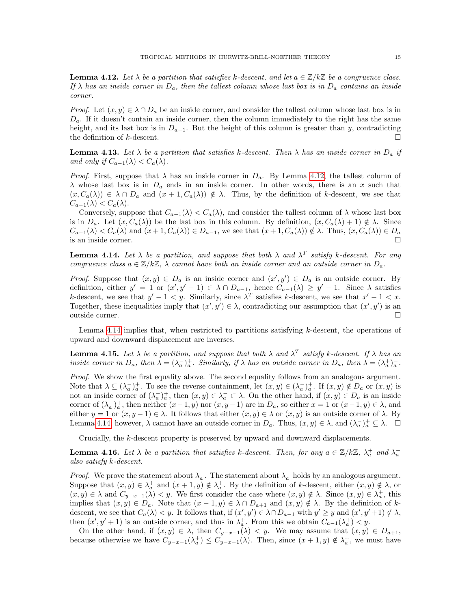<span id="page-14-0"></span>**Lemma 4.12.** Let  $\lambda$  be a partition that satisfies k-descent, and let  $a \in \mathbb{Z}/k\mathbb{Z}$  be a congruence class. If  $\lambda$  has an inside corner in  $D_a$ , then the tallest column whose last box is in  $D_a$  contains an inside corner.

*Proof.* Let  $(x, y) \in \lambda \cap D_a$  be an inside corner, and consider the tallest column whose last box is in  $D_a$ . If it doesn't contain an inside corner, then the column immediately to the right has the same height, and its last box is in  $D_{a-1}$ . But the height of this column is greater than y, contradicting the definition of k-descent.  $\Box$ 

<span id="page-14-4"></span>**Lemma 4.13.** Let  $\lambda$  be a partition that satisfies k-descent. Then  $\lambda$  has an inside corner in  $D_a$  if and only if  $C_{a-1}(\lambda) < C_a(\lambda)$ .

*Proof.* First, suppose that  $\lambda$  has an inside corner in  $D_a$ . By Lemma [4.12,](#page-14-0) the tallest column of  $\lambda$  whose last box is in  $D_a$  ends in an inside corner. In other words, there is an x such that  $(x, C_a(\lambda)) \in \lambda \cap D_a$  and  $(x + 1, C_a(\lambda)) \notin \lambda$ . Thus, by the definition of k-descent, we see that  $C_{a-1}(\lambda) < C_a(\lambda)$ .

Conversely, suppose that  $C_{a-1}(\lambda) < C_a(\lambda)$ , and consider the tallest column of  $\lambda$  whose last box is in  $D_a$ . Let  $(x, C_a(\lambda))$  be the last box in this column. By definition,  $(x, C_a(\lambda) + 1) \notin \lambda$ . Since  $C_{a-1}(\lambda) < C_a(\lambda)$  and  $(x+1, C_a(\lambda)) \in D_{a-1}$ , we see that  $(x+1, C_a(\lambda)) \notin \lambda$ . Thus,  $(x, C_a(\lambda)) \in D_a$ is an inside corner.  $\Box$ 

<span id="page-14-1"></span>**Lemma 4.14.** Let  $\lambda$  be a partition, and suppose that both  $\lambda$  and  $\lambda^T$  satisfy k-descent. For any congruence class  $a \in \mathbb{Z}/k\mathbb{Z}$ ,  $\lambda$  cannot have both an inside corner and an outside corner in  $D_a$ .

*Proof.* Suppose that  $(x, y) \in D_a$  is an inside corner and  $(x', y') \in D_a$  is an outside corner. By definition, either  $y' = 1$  or  $(x', y' - 1) \in \lambda \cap D_{a-1}$ , hence  $C_{a-1}(\lambda) \ge y' - 1$ . Since  $\lambda$  satisfies k-descent, we see that  $y' - 1 < y$ . Similarly, since  $\lambda^T$  satisfies k-descent, we see that  $x' - 1 < x$ . Together, these inequalities imply that  $(x', y') \in \lambda$ , contradicting our assumption that  $(x', y')$  is an outside corner.

Lemma [4.14](#page-14-1) implies that, when restricted to partitions satisfying k-descent, the operations of upward and downward displacement are inverses.

<span id="page-14-3"></span>**Lemma 4.15.** Let  $\lambda$  be a partition, and suppose that both  $\lambda$  and  $\lambda^T$  satisfy k-descent. If  $\lambda$  has an inside corner in  $D_a$ , then  $\lambda = (\lambda_a^-)_a^+$ . Similarly, if  $\lambda$  has an outside corner in  $D_a$ , then  $\lambda = (\lambda_a^+)_a^-$ .

Proof. We show the first equality above. The second equality follows from an analogous argument. Note that  $\lambda \subseteq (\lambda_a^-)_a^+$ . To see the reverse containment, let  $(x, y) \in (\lambda_a^-)_a^+$ . If  $(x, y) \notin D_a$  or  $(x, y)$  is not an inside corner of  $(\lambda_a^-)_a^+$ , then  $(x, y) \in \lambda_a^- \subset \lambda$ . On the other hand, if  $(x, y) \in D_a$  is an inside corner of  $(\lambda_a^-)_a^+$ , then neither  $(x-1,y)$  nor  $(x,y-1)$  are in  $D_a$ , so either  $x=1$  or  $(x-1,y)\in\lambda$ , and either  $y = 1$  or  $(x, y - 1) \in \lambda$ . It follows that either  $(x, y) \in \lambda$  or  $(x, y)$  is an outside corner of  $\lambda$ . By Lemma [4.14,](#page-14-1) however,  $\lambda$  cannot have an outside corner in  $D_a$ . Thus,  $(x, y) \in \lambda$ , and  $(\lambda_a^-)_a^+ \subseteq \lambda$ .  $\Box$ 

Crucially, the k-descent property is preserved by upward and downward displacements.

<span id="page-14-2"></span>**Lemma 4.16.** Let  $\lambda$  be a partition that satisfies k-descent. Then, for any  $a \in \mathbb{Z}/k\mathbb{Z}$ ,  $\lambda_a^+$  and  $\lambda_a^$ also satisfy k-descent.

*Proof.* We prove the statement about  $\lambda_a^+$ . The statement about  $\lambda_a^-$  holds by an analogous argument. Suppose that  $(x, y) \in \lambda_a^+$  and  $(x + 1, y) \notin \lambda_a^+$ . By the definition of k-descent, either  $(x, y) \notin \lambda$ , or  $(x, y) \in \lambda$  and  $C_{y-x-1}(\lambda) < y$ . We first consider the case where  $(x, y) \notin \lambda$ . Since  $(x, y) \in \lambda_a^+$ , this implies that  $(x, y) \in D_a$ . Note that  $(x - 1, y) \in \lambda \cap D_{a+1}$  and  $(x, y) \notin \lambda$ . By the definition of kdescent, we see that  $C_a(\lambda) < y$ . It follows that, if  $(x', y') \in \lambda \cap D_{a-1}$  with  $y' \geq y$  and  $(x', y' + 1) \notin \lambda$ , then  $(x', y' + 1)$  is an outside corner, and thus in  $\lambda_a^+$ . From this we obtain  $C_{a-1}(\lambda_a^+) < y$ .

On the other hand, if  $(x, y) \in \lambda$ , then  $C_{y-x-1}(\lambda) < y$ . We may assume that  $(x, y) \in D_{a+1}$ , because otherwise we have  $C_{y-x-1}(\lambda_a^+) \leq C_{y-x-1}(\lambda)$ . Then, since  $(x+1,y) \notin \lambda_a^+$ , we must have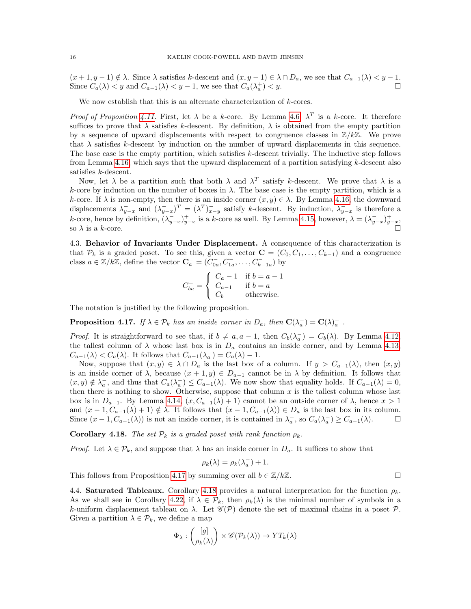$(x + 1, y - 1) \notin \lambda$ . Since  $\lambda$  satisfies k-descent and  $(x, y - 1) \in \lambda \cap D_a$ , we see that  $C_{a-1}(\lambda) < y - 1$ . Since  $C_a(\lambda) < y$  and  $C_{a-1}(\lambda) < y - 1$ , we see that  $C_a(\lambda_a^+) < y$ .

We now establish that this is an alternate characterization of  $k$ -cores.

*Proof of Proposition [4.11.](#page-13-1)* First, let  $\lambda$  be a k-core. By Lemma [4.6,](#page-13-2)  $\lambda^T$  is a k-core. It therefore suffices to prove that  $\lambda$  satisfies k-descent. By definition,  $\lambda$  is obtained from the empty partition by a sequence of upward displacements with respect to congruence classes in  $\mathbb{Z}/k\mathbb{Z}$ . We prove that  $\lambda$  satisfies k-descent by induction on the number of upward displacements in this sequence. The base case is the empty partition, which satisfies k-descent trivially. The inductive step follows from Lemma [4.16,](#page-14-2) which says that the upward displacement of a partition satisfying  $k$ -descent also satisfies k-descent.

Now, let  $\lambda$  be a partition such that both  $\lambda$  and  $\lambda^T$  satisfy k-descent. We prove that  $\lambda$  is a k-core by induction on the number of boxes in  $\lambda$ . The base case is the empty partition, which is a k-core. If  $\lambda$  is non-empty, then there is an inside corner  $(x, y) \in \lambda$ . By Lemma [4.16,](#page-14-2) the downward displacements  $\lambda_{y-x}^-$  and  $(\lambda_{y-x}^-)^T = (\lambda^T)_{x-y}^-$  satisfy k-descent. By induction,  $\lambda_{y-x}^-$  is therefore a k-core, hence by definition,  $(\lambda_{y-x}^{-})_{y-x}^{+}$  is a k-core as well. By Lemma [4.15,](#page-14-3) however,  $\lambda = (\lambda_{y-x}^{-})_{y-x}^{+}$ , so  $\lambda$  is a k-core.

4.3. Behavior of Invariants Under Displacement. A consequence of this characterization is that  $\mathcal{P}_k$  is a graded poset. To see this, given a vector  $\mathbf{C} = (C_0, C_1, \ldots, C_{k-1})$  and a congruence class  $a \in \mathbb{Z}/k\mathbb{Z}$ , define the vector  $\mathbf{C}_a^- = (C_{0a}^-, C_{1a}^-, \dots, C_{k-1a}^-)$  by

$$
C_{ba}^- = \begin{cases} C_a - 1 & \text{if } b = a - 1 \\ C_{a-1} & \text{if } b = a \\ C_b & \text{otherwise.} \end{cases}
$$

The notation is justified by the following proposition.

<span id="page-15-1"></span>**Proposition 4.17.** If  $\lambda \in \mathcal{P}_k$  has an inside corner in  $D_a$ , then  $\mathbf{C}(\lambda_a^-) = \mathbf{C}(\lambda_a^-)$ .

*Proof.* It is straightforward to see that, if  $b \neq a, a - 1$ , then  $C_b(\lambda_a^-) = C_b(\lambda)$ . By Lemma [4.12,](#page-14-0) the tallest column of  $\lambda$  whose last box is in  $D_a$  contains an inside corner, and by Lemma [4.13,](#page-14-4)  $C_{a-1}(\lambda) < C_a(\lambda)$ . It follows that  $C_{a-1}(\lambda_a^-) = C_a(\lambda) - 1$ .

Now, suppose that  $(x, y) \in \lambda \cap D_a$  is the last box of a column. If  $y > C_{a-1}(\lambda)$ , then  $(x, y)$ is an inside corner of  $\lambda$ , because  $(x + 1, y) \in D_{a-1}$  cannot be in  $\lambda$  by definition. It follows that  $(x, y) \notin \lambda_a^-$ , and thus that  $C_a(\lambda_a^-) \leq C_{a-1}(\lambda)$ . We now show that equality holds. If  $C_{a-1}(\lambda) = 0$ , then there is nothing to show. Otherwise, suppose that column  $x$  is the tallest column whose last box is in  $D_{a-1}$ . By Lemma [4.14,](#page-14-1)  $(x, C_{a-1}(\lambda) + 1)$  cannot be an outside corner of  $\lambda$ , hence  $x > 1$ and  $(x - 1, C_{a-1}(\lambda) + 1) \notin \lambda$ . It follows that  $(x - 1, C_{a-1}(\lambda)) \in D_a$  is the last box in its column. Since  $(x - 1, C_{a-1}(\lambda))$  is not an inside corner, it is contained in  $\lambda_a$ , so  $C_a(\lambda_a^-) \geq C_{a-1}(\lambda)$ .  $\Box$ 

<span id="page-15-0"></span>**Corollary 4.18.** The set  $\mathcal{P}_k$  is a graded poset with rank function  $\rho_k$ .

*Proof.* Let  $\lambda \in \mathcal{P}_k$ , and suppose that  $\lambda$  has an inside corner in  $D_a$ . It suffices to show that

$$
\rho_k(\lambda) = \rho_k(\lambda_a^-) + 1.
$$

This follows from Proposition [4.17](#page-15-1) by summing over all  $b \in \mathbb{Z}/k\mathbb{Z}$ .

4.4. Saturated Tableaux. Corollary [4.18](#page-15-0) provides a natural interpretation for the function  $\rho_k$ . As we shall see in Corollary [4.22,](#page-16-1) if  $\lambda \in \mathcal{P}_k$ , then  $\rho_k(\lambda)$  is the minimal number of symbols in a k-uniform displacement tableau on  $\lambda$ . Let  $\mathscr{C}(\mathcal{P})$  denote the set of maximal chains in a poset  $\mathcal{P}$ . Given a partition  $\lambda \in \mathcal{P}_k$ , we define a map

$$
\Phi_{\lambda}: \begin{pmatrix} [g] \\ \rho_k(\lambda) \end{pmatrix} \times \mathscr{C}(\mathcal{P}_k(\lambda)) \to YT_k(\lambda)
$$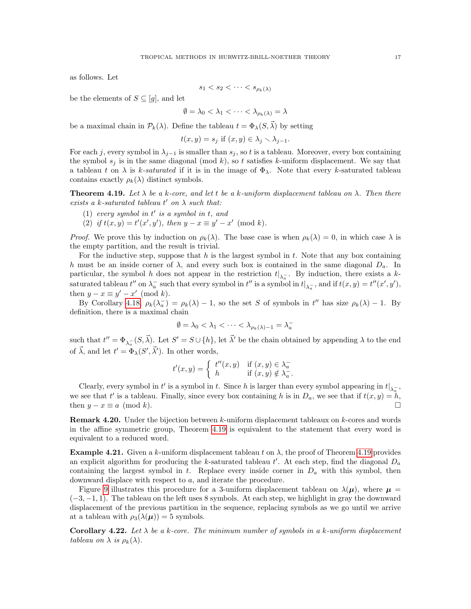as follows. Let

$$
s_1 < s_2 < \cdots < s_{\rho_k(\lambda)}
$$

be the elements of  $S \subseteq [g]$ , and let

$$
\emptyset = \lambda_0 < \lambda_1 < \dots < \lambda_{\rho_k(\lambda)} = \lambda
$$

be a maximal chain in  $\mathcal{P}_k(\lambda)$ . Define the tableau  $t = \Phi_\lambda(S, \vec{\lambda})$  by setting

$$
t(x,y) = s_j \text{ if } (x,y) \in \lambda_j \setminus \lambda_{j-1}.
$$

For each j, every symbol in  $\lambda_{j-1}$  is smaller than  $s_j$ , so t is a tableau. Moreover, every box containing the symbol  $s_i$  is in the same diagonal (mod k), so t satisfies k-uniform displacement. We say that a tableau t on  $\lambda$  is k-saturated if it is in the image of  $\Phi_{\lambda}$ . Note that every k-saturated tableau contains exactly  $\rho_k(\lambda)$  distinct symbols.

<span id="page-16-2"></span>**Theorem 4.19.** Let  $\lambda$  be a k-core, and let t be a k-uniform displacement tableau on  $\lambda$ . Then there exists a k-saturated tableau  $t'$  on  $\lambda$  such that:

- (1) every symbol in  $t'$  is a symbol in  $t$ , and
- (2) if  $t(x, y) = t'(x', y')$ , then  $y x \equiv y' x' \pmod{k}$ .

*Proof.* We prove this by induction on  $\rho_k(\lambda)$ . The base case is when  $\rho_k(\lambda) = 0$ , in which case  $\lambda$  is the empty partition, and the result is trivial.

For the inductive step, suppose that  $h$  is the largest symbol in  $t$ . Note that any box containing h must be an inside corner of  $\lambda$ , and every such box is contained in the same diagonal  $D_a$ . In particular, the symbol h does not appear in the restriction  $t|_{\lambda_{\alpha}}$ . By induction, there exists a hsaturated tableau  $t''$  on  $\lambda_a^-$  such that every symbol in  $t''$  is a symbol in  $t|_{\lambda_a^-}$ , and if  $t(x, y) = t''(x', y')$ , then  $y - x \equiv y' - x' \pmod{k}$ .

By Corollary [4.18,](#page-15-0)  $\rho_k(\lambda_a^-) = \rho_k(\lambda) - 1$ , so the set S of symbols in t'' has size  $\rho_k(\lambda) - 1$ . By definition, there is a maximal chain

$$
\emptyset = \lambda_0 < \lambda_1 < \dots < \lambda_{\rho_k(\lambda)-1} = \lambda_a^-
$$

such that  $t'' = \Phi_{\lambda_a^-}(S, \vec{\lambda})$ . Let  $S' = S \cup \{h\}$ , let  $\vec{\lambda}'$  be the chain obtained by appending  $\lambda$  to the end of  $\vec{\lambda}$ , and let  $t' = \Phi_{\lambda}(S', \vec{\lambda}')$ . In other words,

$$
t'(x,y) = \begin{cases} t''(x,y) & \text{if } (x,y) \in \lambda_a^- \\ h & \text{if } (x,y) \notin \lambda_a^- . \end{cases}
$$

Clearly, every symbol in t' is a symbol in t. Since h is larger than every symbol appearing in  $t|_{\lambda_{\alpha}^-}$ , we see that t' is a tableau. Finally, since every box containing h is in  $D_a$ , we see that if  $t(x, y) = h$ , then  $y - x \equiv a \pmod{k}$ .

<span id="page-16-0"></span>**Remark 4.20.** Under the bijection between k-uniform displacement tableaux on k-cores and words in the affine symmetric group, Theorem [4.19](#page-16-2) is equivalent to the statement that every word is equivalent to a reduced word.

<span id="page-16-3"></span>**Example 4.21.** Given a k-uniform displacement tableau t on  $\lambda$ , the proof of Theorem [4.19](#page-16-2) provides an explicit algorithm for producing the k-saturated tableau  $t'$ . At each step, find the diagonal  $D_a$ containing the largest symbol in t. Replace every inside corner in  $D_a$  with this symbol, then downward displace with respect to a, and iterate the procedure.

Figure [9](#page-17-1) illustrates this procedure for a 3-uniform displacement tableau on  $\lambda(\mu)$ , where  $\mu =$  $(-3, -1, 1)$ . The tableau on the left uses 8 symbols. At each step, we highlight in gray the downward displacement of the previous partition in the sequence, replacing symbols as we go until we arrive at a tableau with  $\rho_3(\lambda(\mu)) = 5$  symbols.

<span id="page-16-1"></span>Corollary 4.22. Let  $\lambda$  be a k-core. The minimum number of symbols in a k-uniform displacement tableau on  $\lambda$  is  $\rho_k(\lambda)$ .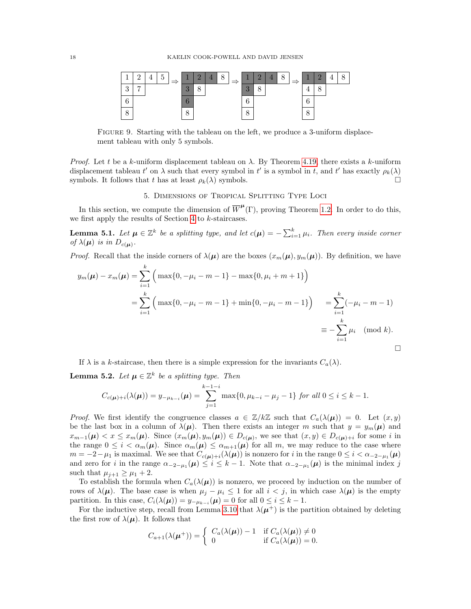

<span id="page-17-1"></span>FIGURE 9. Starting with the tableau on the left, we produce a 3-uniform displacement tableau with only 5 symbols.

*Proof.* Let t be a k-uniform displacement tableau on  $\lambda$ . By Theorem [4.19,](#page-16-2) there exists a k-uniform displacement tableau  $t'$  on  $\lambda$  such that every symbol in  $t'$  is a symbol in t, and t' has exactly  $\rho_k(\lambda)$ symbols. It follows that t has at least  $\rho_k(\lambda)$  symbols.

# 5. Dimensions of Tropical Splitting Type Loci

<span id="page-17-0"></span>In this section, we compute the dimension of  $\overline{W}^{\mu}(\Gamma)$ , proving Theorem [1.2.](#page-1-0) In order to do this, we first apply the results of Section [4](#page-11-0) to  $k$ -staircases.

**Lemma 5.1.** Let  $\mu \in \mathbb{Z}^k$  be a splitting type, and let  $c(\mu) = -\sum_{i=1}^k \mu_i$ . Then every inside corner of  $\lambda(\mu)$  is in  $D_{c(\mu)}$ .

*Proof.* Recall that the inside corners of  $\lambda(\mu)$  are the boxes  $(x_m(\mu), y_m(\mu))$ . By definition, we have

$$
y_m(\mu) - x_m(\mu) = \sum_{i=1}^k \left( \max\{0, -\mu_i - m - 1\} - \max\{0, \mu_i + m + 1\} \right)
$$
  
= 
$$
\sum_{i=1}^k \left( \max\{0, -\mu_i - m - 1\} + \min\{0, -\mu_i - m - 1\} \right) = \sum_{i=1}^k (-\mu_i - m - 1)
$$
  
= 
$$
-\sum_{i=1}^k \mu_i \pmod{k}.
$$

If  $\lambda$  is a k-staircase, then there is a simple expression for the invariants  $C_a(\lambda)$ .

<span id="page-17-2"></span>**Lemma 5.2.** Let  $\mu \in \mathbb{Z}^k$  be a splitting type. Then

$$
C_{c(\mu)+i}(\lambda(\mu)) = y_{-\mu_{k-i}}(\mu) = \sum_{j=1}^{k-1-i} \max\{0, \mu_{k-i} - \mu_j - 1\} \text{ for all } 0 \le i \le k-1.
$$

*Proof.* We first identify the congruence classes  $a \in \mathbb{Z}/k\mathbb{Z}$  such that  $C_a(\lambda(\mu)) = 0$ . Let  $(x, y)$ be the last box in a column of  $\lambda(\mu)$ . Then there exists an integer m such that  $y = y_m(\mu)$  and  $x_{m-1}(\mu) < x \leq x_m(\mu)$ . Since  $(x_m(\mu), y_m(\mu)) \in D_{c(\mu)}$ , we see that  $(x, y) \in D_{c(\mu)+i}$  for some i in the range  $0 \leq i < \alpha_m(\mu)$ . Since  $\alpha_m(\mu) \leq \alpha_{m+1}(\mu)$  for all m, we may reduce to the case where  $m = -2 - \mu_1$  is maximal. We see that  $C_{c(\mu)+i}(\lambda(\mu))$  is nonzero for i in the range  $0 \leq i < \alpha_{-2-\mu_1}(\mu)$ and zero for i in the range  $\alpha_{-2-\mu_1}(\mu) \leq i \leq k-1$ . Note that  $\alpha_{-2-\mu_1}(\mu)$  is the minimal index j such that  $\mu_{j+1} \geq \mu_1 + 2$ .

To establish the formula when  $C_a(\lambda(\mu))$  is nonzero, we proceed by induction on the number of rows of  $\lambda(\mu)$ . The base case is when  $\mu_j - \mu_i \leq 1$  for all  $i < j$ , in which case  $\lambda(\mu)$  is the empty partition. In this case,  $C_i(\lambda(\mu)) = y_{-\mu_{k-i}}(\mu) = 0$  for all  $0 \le i \le k-1$ .

For the inductive step, recall from Lemma [3.10](#page-10-1) that  $\lambda(\mu^+)$  is the partition obtained by deleting the first row of  $\lambda(\mu)$ . It follows that

$$
C_{a+1}(\lambda(\boldsymbol{\mu}^+)) = \begin{cases} C_a(\lambda(\boldsymbol{\mu})) - 1 & \text{if } C_a(\lambda(\boldsymbol{\mu})) \neq 0\\ 0 & \text{if } C_a(\lambda(\boldsymbol{\mu})) = 0. \end{cases}
$$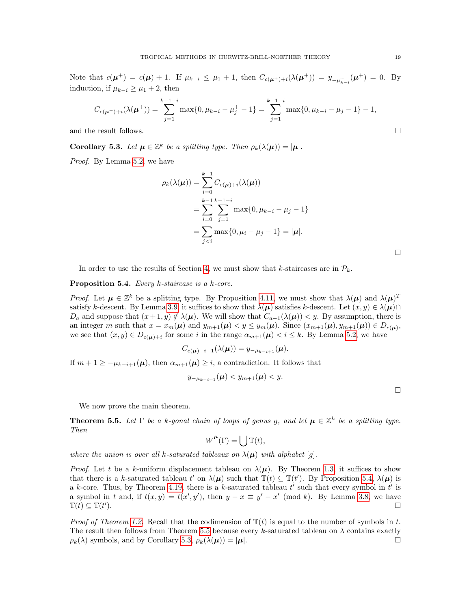Note that  $c(\mu^+) = c(\mu) + 1$ . If  $\mu_{k-i} \leq \mu_1 + 1$ , then  $C_{c(\mu^+)+i}(\lambda(\mu^+)) = y_{-\mu^+_{k-i}}(\mu^+) = 0$ . By induction, if  $\mu_{k-i} \geq \mu_1 + 2$ , then

$$
C_{c(\mu^{+})+i}(\lambda(\mu^{+})) = \sum_{j=1}^{k-1-i} \max\{0, \mu_{k-i} - \mu_j^{+} - 1\} = \sum_{j=1}^{k-1-i} \max\{0, \mu_{k-i} - \mu_j - 1\} - 1,
$$

and the result follows.  $\Box$ 

<span id="page-18-2"></span>**Corollary 5.3.** Let  $\mu \in \mathbb{Z}^k$  be a splitting type. Then  $\rho_k(\lambda(\mu)) = |\mu|$ .

Proof. By Lemma [5.2,](#page-17-2) we have

$$
\rho_k(\lambda(\mu)) = \sum_{i=0}^{k-1} C_{c(\mu)+i}(\lambda(\mu))
$$
  
= 
$$
\sum_{i=0}^{k-1} \sum_{j=1}^{k-1-i} \max\{0, \mu_{k-i} - \mu_j - 1\}
$$
  
= 
$$
\sum_{j
$$

In order to use the results of Section [4,](#page-11-0) we must show that k-staircases are in  $\mathcal{P}_k$ .

<span id="page-18-0"></span>Proposition 5.4. Every k-staircase is a k-core.

*Proof.* Let  $\mu \in \mathbb{Z}^k$  be a splitting type. By Proposition [4.11,](#page-13-1) we must show that  $\lambda(\mu)$  and  $\lambda(\mu)^T$ satisfy k-descent. By Lemma [3.9,](#page-10-0) it suffices to show that  $\lambda(\mu)$  satisfies k-descent. Let  $(x, y) \in \lambda(\mu) \cap$  $D_a$  and suppose that  $(x+1, y) \notin \lambda(\mu)$ . We will show that  $C_{a-1}(\lambda(\mu)) < y$ . By assumption, there is an integer m such that  $x = x_m(\mu)$  and  $y_{m+1}(\mu) < y \le y_m(\mu)$ . Since  $(x_{m+1}(\mu), y_{m+1}(\mu)) \in D_{c(\mu)}$ , we see that  $(x, y) \in D_{c(\mu)+i}$  for some i in the range  $\alpha_{m+1}(\mu) < i \leq k$ . By Lemma [5.2,](#page-17-2) we have

$$
C_{c(\boldsymbol{\mu})-i-1}(\lambda(\boldsymbol{\mu}))=y_{-\mu_{k-i+1}}(\boldsymbol{\mu}).
$$

If  $m + 1 \geq -\mu_{k-i+1}(\mu)$ , then  $\alpha_{m+1}(\mu) \geq i$ , a contradiction. It follows that

$$
y_{-\mu_{k-i+1}}(\boldsymbol{\mu}) < y_{m+1}(\boldsymbol{\mu}) < y.
$$

 $\Box$ 

We now prove the main theorem.

<span id="page-18-1"></span>**Theorem 5.5.** Let  $\Gamma$  be a k-gonal chain of loops of genus g, and let  $\mu \in \mathbb{Z}^k$  be a splitting type. Then

$$
\overline{W}^{\mu}(\Gamma) = \left| \int \mathbb{T}(t), \right|
$$

where the union is over all k-saturated tableaux on  $\lambda(\mu)$  with alphabet [g].

*Proof.* Let t be a k-uniform displacement tableau on  $\lambda(\mu)$ . By Theorem [1.3,](#page-1-1) it suffices to show that there is a k-saturated tableau t' on  $\lambda(\mu)$  such that  $\mathbb{T}(t) \subseteq \mathbb{T}(t')$ . By Proposition [5.4,](#page-18-0)  $\lambda(\mu)$  is a k-core. Thus, by Theorem [4.19,](#page-16-2) there is a k-saturated tableau  $t'$  such that every symbol in  $t'$  is a symbol in t and, if  $t(x, y) = t(x', y')$ , then  $y - x \equiv y' - x' \pmod{k}$ . By Lemma [3.8,](#page-9-1) we have  $\mathbb{T}(t) \subseteq \mathbb{T}(t')$ ).

*Proof of Theorem [1.2.](#page-1-0)* Recall that the codimension of  $T(t)$  is equal to the number of symbols in t. The result then follows from Theorem [5.5](#page-18-1) because every k-saturated tableau on  $\lambda$  contains exactly  $\rho_k(\lambda)$  symbols, and by Corollary [5.3,](#page-18-2)  $\rho_k(\lambda(\mu)) = |\mu|$ .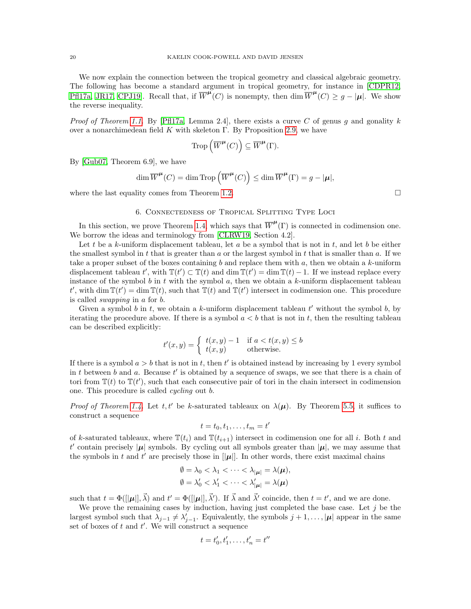We now explain the connection between the tropical geometry and classical algebraic geometry. The following has become a standard argument in tropical geometry, for instance in [\[CDPR12,](#page-28-0) [Pfl17a,](#page-29-3) [JR17,](#page-29-4) CPJ19. Recall that, if  $\overline{W}^{\mu}(C)$  is nonempty, then  $\dim \overline{W}^{\mu}(C) \geq g - |\mu|$ . We show the reverse inequality.

Proof of Theorem [1.1.](#page-0-0) By [\[Pfl17a,](#page-29-3) Lemma 2.4], there exists a curve C of genus g and gonality  $k$ over a nonarchimedean field K with skeleton  $\Gamma$ . By Proposition [2.9,](#page-7-3) we have

$$
\operatorname{Trop}\left(\overline{W}^{\mu}(C)\right) \subseteq \overline{W}^{\mu}(\Gamma).
$$

By [\[Gub07,](#page-29-17) Theorem 6.9], we have

$$
\dim \overline{W}^{\mu}(C) = \dim \operatorname{Trop}\left(\overline{W}^{\mu}(C)\right) \le \dim \overline{W}^{\mu}(\Gamma) = g - |\mu|,
$$

where the last equality comes from Theorem [1.2.](#page-1-0)  $\Box$ 

## 6. Connectedness of Tropical Splitting Type Loci

<span id="page-19-0"></span>In this section, we prove Theorem [1.4,](#page-1-2) which says that  $\overline{W}^{\mu}(\Gamma)$  is connected in codimension one. We borrow the ideas and terminology from [\[CLRW19,](#page-29-8) Section 4.2].

Let t be a k-uniform displacement tableau, let a be a symbol that is not in t, and let b be either the smallest symbol in t that is greater than  $a$  or the largest symbol in t that is smaller than  $a$ . If we take a proper subset of the boxes containing b and replace them with a, then we obtain a k-uniform displacement tableau t', with  $\mathbb{T}(t') \subset \mathbb{T}(t)$  and dim  $\mathbb{T}(t') = \dim \mathbb{T}(t) - 1$ . If we instead replace every instance of the symbol b in t with the symbol a, then we obtain a k-uniform displacement tableau t', with dim  $\mathbb{T}(t') = \dim \mathbb{T}(t)$ , such that  $\mathbb{T}(t)$  and  $\mathbb{T}(t')$  intersect in codimension one. This procedure is called swapping in a for b.

Given a symbol  $b$  in  $t$ , we obtain a  $k$ -uniform displacement tableau  $t'$  without the symbol  $b$ , by iterating the procedure above. If there is a symbol  $a < b$  that is not in t, then the resulting tableau can be described explicitly:

$$
t'(x,y) = \begin{cases} t(x,y) - 1 & \text{if } a < t(x,y) \le b \\ t(x,y) & \text{otherwise.} \end{cases}
$$

If there is a symbol  $a > b$  that is not in t, then t' is obtained instead by increasing by 1 every symbol in t between b and a. Because  $t'$  is obtained by a sequence of swaps, we see that there is a chain of tori from  $\mathbb{T}(t)$  to  $\mathbb{T}(t')$ , such that each consecutive pair of tori in the chain intersect in codimension one. This procedure is called cycling out b.

*Proof of Theorem [1.4.](#page-1-2)* Let t, t' be k-saturated tableaux on  $\lambda(\mu)$ . By Theorem [5.5,](#page-18-1) it suffices to construct a sequence

$$
t = t_0, t_1, \ldots, t_m = t'
$$

of k-saturated tableaux, where  $\mathbb{T}(t_i)$  and  $\mathbb{T}(t_{i+1})$  intersect in codimension one for all i. Both t and t' contain precisely | $\mu$ | symbols. By cycling out all symbols greater than  $|\mu|$ , we may assume that the symbols in t and t' are precisely those in  $[|\mu|]$ . In other words, there exist maximal chains

$$
\emptyset = \lambda_0 < \lambda_1 < \cdots < \lambda_{|\mu|} = \lambda(\mu),
$$
\n
$$
\emptyset = \lambda'_0 < \lambda'_1 < \cdots < \lambda'_{|\mu|} = \lambda(\mu)
$$

such that  $t = \Phi(||\mu||, \vec{\lambda})$  and  $t' = \Phi(||\mu||, \vec{\lambda}')$ . If  $\vec{\lambda}$  and  $\vec{\lambda}'$  coincide, then  $t = t'$ , and we are done.

We prove the remaining cases by induction, having just completed the base case. Let  $j$  be the largest symbol such that  $\lambda_{j-1} \neq \lambda'_{j-1}$ . Equivalently, the symbols  $j + 1, \ldots, |\mu|$  appear in the same set of boxes of  $t$  and  $t'$ . We will construct a sequence

$$
t = t'_0, t'_1, \dots, t'_n = t''
$$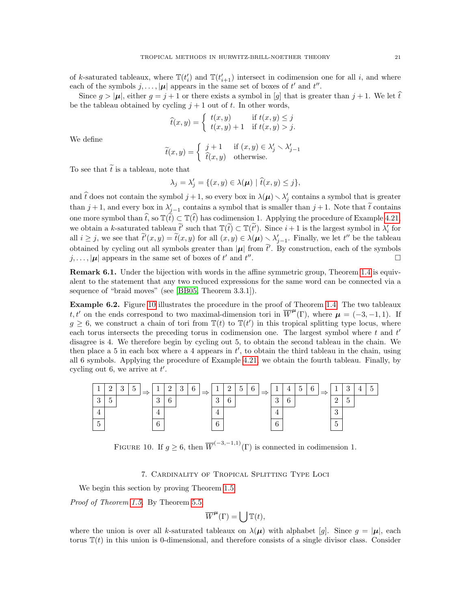of k-saturated tableaux, where  $\mathbb{T}(t'_{i})$  and  $\mathbb{T}(t'_{i+1})$  intersect in codimension one for all i, and where each of the symbols  $j, \ldots, |\mu|$  appears in the same set of boxes of t' and t''.

Since  $g > |\mu|$ , either  $g = j + 1$  or there exists a symbol in [g] that is greater than  $j + 1$ . We let  $\hat{t}$ be the tableau obtained by cycling  $j + 1$  out of t. In other words,

$$
\widehat{t}(x,y) = \begin{cases} t(x,y) & \text{if } t(x,y) \leq j \\ t(x,y) + 1 & \text{if } t(x,y) > j. \end{cases}
$$

We define

$$
\widetilde{t}(x,y) = \begin{cases} j+1 & \text{if } (x,y) \in \lambda'_j \setminus \lambda'_{j-1} \\ \widehat{t}(x,y) & \text{otherwise.} \end{cases}
$$

To see that  $\tilde{t}$  is a tableau, note that

$$
\lambda_j = \lambda'_j = \{ (x, y) \in \lambda(\boldsymbol{\mu}) \mid \hat{t}(x, y) \leq j \},
$$

and  $\hat{t}$  does not contain the symbol  $j + 1$ , so every box in  $\lambda(\mu) \setminus \lambda'_{j}$  contains a symbol that is greater than  $j + 1$ , and every box in  $\lambda'_{j-1}$  contains a symbol that is smaller than  $j + 1$ . Note that  $\tilde{t}$  contains one more symbol than  $\hat{t}$ , so  $\mathbb{T}(\tilde{t}) \subset \mathbb{T}(\hat{t})$  has codimension 1. Applying the procedure of Example [4.21,](#page-16-3) we obtain a k-saturated tableau  $\tilde{t}'$  such that  $\mathbb{T}(\tilde{t}) \subset \mathbb{T}(\tilde{t}')$ . Since  $i + 1$  is the largest symbol in  $\lambda'_i$  for all  $i \geq j$ , we see that  $\tilde{t}'(x, y) = \tilde{t}(x, y)$  for all  $(x, y) \in \lambda(\mu) \setminus \lambda'_{j-1}$ . Finally, we let  $t''$  be the tableau obtained by cycling out all symbols greater than  $|\mu|$  from  $\tilde{t}'$ . By construction, each of the symbols  $j, \ldots, |\mu|$  appears in the same set of boxes of t' and t'' . В последните последните последните последните последните последните последните последните последните последн<br>В последните последните последните последните последните последните последните последните последните последнит

<span id="page-20-1"></span>Remark 6.1. Under the bijection with words in the affine symmetric group, Theorem [1.4](#page-1-2) is equivalent to the statement that any two reduced expressions for the same word can be connected via a sequence of "braid moves" (see [\[BB05,](#page-28-5) Theorem 3.3.1]).

Example 6.2. Figure [10](#page-20-2) illustrates the procedure in the proof of Theorem [1.4.](#page-1-2) The two tableaux t, t' on the ends correspond to two maximal-dimension tori in  $\overline{W}^{\mu}(\Gamma)$ , where  $\mu = (-3, -1, 1)$ . If  $g \geq 6$ , we construct a chain of tori from  $\mathbb{T}(t)$  to  $\mathbb{T}(t')$  in this tropical splitting type locus, where each torus intersects the preceding torus in codimension one. The largest symbol where  $t$  and  $t'$ disagree is 4. We therefore begin by cycling out 5, to obtain the second tableau in the chain. We then place a 5 in each box where a 4 appears in  $t'$ , to obtain the third tableau in the chain, using all 6 symbols. Applying the procedure of Example [4.21,](#page-16-3) we obtain the fourth tableau. Finally, by cycling out 6, we arrive at  $t'$ .



FIGURE 10. If  $g ">= 6$ , then  $\overline{W}^{(-3,-1,1)}(\Gamma)$  is connected in codimension 1.

<span id="page-20-2"></span>7. Cardinality of Tropical Splitting Type Loci

<span id="page-20-0"></span>We begin this section by proving Theorem [1.5.](#page-2-2)

Proof of Theorem [1.5.](#page-2-2) By Theorem [5.5,](#page-18-1)

$$
\overline{W}^{\mu}(\Gamma) = \left( \int \mathbb{T}(t), \right)
$$

where the union is over all k-saturated tableaux on  $\lambda(\mu)$  with alphabet [g]. Since  $g = |\mu|$ , each torus  $\mathbb{T}(t)$  in this union is 0-dimensional, and therefore consists of a single divisor class. Consider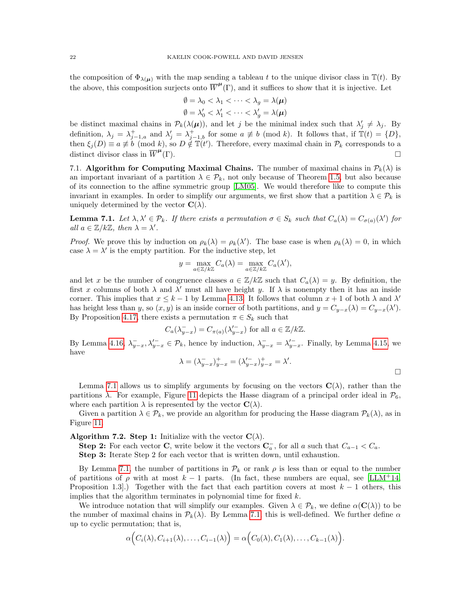the composition of  $\Phi_{\lambda(\mu)}$  with the map sending a tableau t to the unique divisor class in  $\mathbb{T}(t)$ . By the above, this composition surjects onto  $\overline{W}^{\mu}(\Gamma)$ , and it suffices to show that it is injective. Let

$$
\emptyset = \lambda_0 < \lambda_1 < \dots < \lambda_g = \lambda(\mu)
$$
\n
$$
\emptyset = \lambda'_0 < \lambda'_1 < \dots < \lambda'_g = \lambda(\mu)
$$

be distinct maximal chains in  $\mathcal{P}_k(\lambda(\mu))$ , and let j be the minimal index such that  $\lambda'_j \neq \lambda_j$ . By definition,  $\lambda_j = \lambda_{j-1,a}^+$  and  $\lambda'_j = \lambda_{j-1,b}^+$  for some  $a \not\equiv b \pmod{k}$ . It follows that, if  $\mathbb{T}(t) = \{D\}$ , then  $\xi_j(D) \equiv a \not\equiv b \pmod{k}$ , so  $D \notin \mathbb{T}(t')$ . Therefore, every maximal chain in  $\mathcal{P}_k$  corresponds to a distinct divisor class in  $\overline{W}^{\mu}$ (Γ).

7.1. Algorithm for Computing Maximal Chains. The number of maximal chains in  $\mathcal{P}_k(\lambda)$  is an important invariant of a partition  $\lambda \in \mathcal{P}_k$ , not only because of Theorem [1.5,](#page-2-2) but also because of its connection to the affine symmetric group [\[LM05\]](#page-29-13). We would therefore like to compute this invariant in examples. In order to simplify our arguments, we first show that a partition  $\lambda \in \mathcal{P}_k$  is uniquely determined by the vector  $\mathbf{C}(\lambda)$ .

<span id="page-21-1"></span>**Lemma 7.1.** Let  $\lambda, \lambda' \in \mathcal{P}_k$ . If there exists a permutation  $\sigma \in S_k$  such that  $C_a(\lambda) = C_{\sigma(a)}(\lambda')$  for all  $a \in \mathbb{Z}/k\mathbb{Z}$ , then  $\lambda = \lambda'$ .

*Proof.* We prove this by induction on  $\rho_k(\lambda) = \rho_k(\lambda')$ . The base case is when  $\rho_k(\lambda) = 0$ , in which case  $\lambda = \lambda'$  is the empty partition. For the inductive step, let

$$
y = \max_{a \in \mathbb{Z}/k\mathbb{Z}} C_a(\lambda) = \max_{a \in \mathbb{Z}/k\mathbb{Z}} C_a(\lambda'),
$$

and let x be the number of congruence classes  $a \in \mathbb{Z}/k\mathbb{Z}$  such that  $C_a(\lambda) = y$ . By definition, the first x columns of both  $\lambda$  and  $\lambda'$  must all have height y. If  $\lambda$  is nonempty then it has an inside corner. This implies that  $x \leq k - 1$  by Lemma [4.13.](#page-14-4) It follows that column  $x + 1$  of both  $\lambda$  and  $\lambda'$ has height less than y, so  $(x, y)$  is an inside corner of both partitions, and  $y = C_{y-x}(\lambda) = C_{y-x}(\lambda')$ . By Proposition [4.17,](#page-15-1) there exists a permutation  $\pi \in S_k$  such that

$$
C_a(\lambda_{y-x}^-) = C_{\pi(a)}(\lambda_{y-x}^{\prime -})
$$
 for all  $a \in \mathbb{Z}/k\mathbb{Z}$ .

By Lemma [4.16,](#page-14-2)  $\lambda_{y-x}^-, \lambda_{y-x}^{\prime -} \in \mathcal{P}_k$ , hence by induction,  $\lambda_{y-x}^- = \lambda_{y-x}^{\prime -}$ . Finally, by Lemma [4.15,](#page-14-3) we have

$$
\lambda = (\lambda_{y-x}^-)^+_{y-x} = (\lambda_{y-x}'^-)^+_{y-x} = \lambda'.
$$

Lemma [7.1](#page-21-1) allows us to simplify arguments by focusing on the vectors  $\mathbf{C}(\lambda)$ , rather than the partitions  $\lambda$ . For example, Figure [11](#page-22-1) depicts the Hasse diagram of a principal order ideal in  $\mathcal{P}_6$ , where each partition  $\lambda$  is represented by the vector  $\mathbf{C}(\lambda)$ .

Given a partition  $\lambda \in \mathcal{P}_k$ , we provide an algorithm for producing the Hasse diagram  $\mathcal{P}_k(\lambda)$ , as in Figure [11.](#page-22-1)

<span id="page-21-0"></span>Algorithm 7.2. Step 1: Initialize with the vector  $\mathbf{C}(\lambda)$ .

**Step 2:** For each vector **C**, write below it the vectors  $\mathbf{C}_a^-$ , for all a such that  $C_{a-1} < C_a$ . Step 3: Iterate Step 2 for each vector that is written down, until exhaustion.

By Lemma [7.1,](#page-21-1) the number of partitions in  $\mathcal{P}_k$  or rank  $\rho$  is less than or equal to the number of partitions of  $\rho$  with at most  $k-1$  parts. (In fact, these numbers are equal, see [\[LLM](#page-29-11)<sup>+</sup>14, Proposition 1.3..) Together with the fact that each partition covers at most  $k-1$  others, this implies that the algorithm terminates in polynomial time for fixed  $k$ .

We introduce notation that will simplify our examples. Given  $\lambda \in \mathcal{P}_k$ , we define  $\alpha(\mathbf{C}(\lambda))$  to be the number of maximal chains in  $\mathcal{P}_k(\lambda)$ . By Lemma [7.1,](#page-21-1) this is well-defined. We further define  $\alpha$ up to cyclic permutation; that is,

$$
\alpha\Big(C_i(\lambda), C_{i+1}(\lambda), \ldots, C_{i-1}(\lambda)\Big) = \alpha\Big(C_0(\lambda), C_1(\lambda), \ldots, C_{k-1}(\lambda)\Big).
$$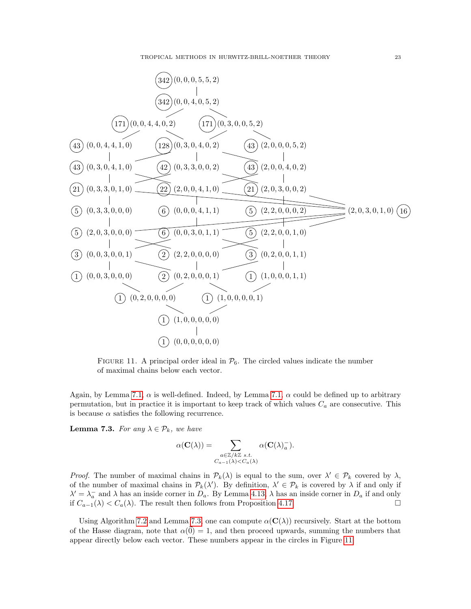

<span id="page-22-1"></span>FIGURE 11. A principal order ideal in  $\mathcal{P}_6$ . The circled values indicate the number of maximal chains below each vector.

Again, by Lemma [7.1,](#page-21-1)  $\alpha$  is well-defined. Indeed, by Lemma 7.1,  $\alpha$  could be defined up to arbitrary permutation, but in practice it is important to keep track of which values  $C_a$  are consecutive. This is because  $\alpha$  satisfies the following recurrence.

<span id="page-22-0"></span>**Lemma 7.3.** For any  $\lambda \in \mathcal{P}_k$ , we have

$$
\alpha(\mathbf{C}(\lambda)) = \sum_{\substack{a \in \mathbb{Z}/k\mathbb{Z} \ s.t. \\ C_{a-1}(\lambda) < C_a(\lambda)}} \alpha(\mathbf{C}(\lambda)_a^-).
$$

Proof. The number of maximal chains in  $\mathcal{P}_k(\lambda)$  is equal to the sum, over  $\lambda' \in \mathcal{P}_k$  covered by  $\lambda$ , of the number of maximal chains in  $\mathcal{P}_k(\lambda')$ . By definition,  $\lambda' \in \mathcal{P}_k$  is covered by  $\lambda$  if and only if  $\lambda' = \lambda_a^-$  and  $\lambda$  has an inside corner in  $D_a$ . By Lemma [4.13,](#page-14-4)  $\lambda$  has an inside corner in  $D_a$  if and only if  $C_{a-1}(\lambda) < C_a(\lambda)$ . The result then follows from Proposition [4.17.](#page-15-1) □

Using Algorithm [7.2](#page-21-0) and Lemma [7.3,](#page-22-0) one can compute  $\alpha(\mathbf{C}(\lambda))$  recursively. Start at the bottom of the Hasse diagram, note that  $\alpha(\vec{0}) = 1$ , and then proceed upwards, summing the numbers that appear directly below each vector. These numbers appear in the circles in Figure [11.](#page-22-1)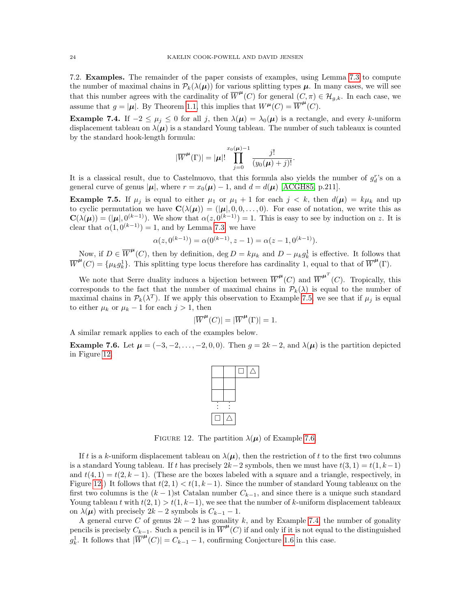7.2. Examples. The remainder of the paper consists of examples, using Lemma [7.3](#page-22-0) to compute the number of maximal chains in  $\mathcal{P}_k(\lambda(\mu))$  for various splitting types  $\mu$ . In many cases, we will see that this number agrees with the cardinality of  $\overline{W}^{\mu}(C)$  for general  $(C, \pi) \in \mathcal{H}_{g,k}$ . In each case, we assume that  $g = |\mu|$ . By Theorem [1.1,](#page-0-0) this implies that  $W^{\mu}(C) = \overline{W}^{\mu}(C)$ .

<span id="page-23-3"></span>**Example 7.4.** If  $-2 \leq \mu_j \leq 0$  for all j, then  $\lambda(\mu) = \lambda_0(\mu)$  is a rectangle, and every k-uniform displacement tableau on  $\lambda(\mu)$  is a standard Young tableau. The number of such tableaux is counted by the standard hook-length formula:

$$
|\overline{W}^{\boldsymbol{\mu}}(\Gamma)| = |\boldsymbol{\mu}|! \prod_{j=0}^{x_0(\boldsymbol{\mu})-1} \frac{j!}{(y_0(\boldsymbol{\mu})+j)!}.
$$

It is a classical result, due to Castelnuovo, that this formula also yields the number of  $g_d^r$ 's on a general curve of genus  $|\mu|$ , where  $r = x_0(\mu) - 1$ , and  $d = d(\mu)$  [\[ACGH85,](#page-28-6) p.211].

<span id="page-23-1"></span>**Example 7.5.** If  $\mu_j$  is equal to either  $\mu_1$  or  $\mu_1 + 1$  for each  $j < k$ , then  $d(\mu) = k\mu_k$  and up to cyclic permutation we have  $\mathbf{C}(\lambda(\mu)) = (|\mu|, 0, 0, \dots, 0)$ . For ease of notation, we write this as  $\mathbf{C}(\lambda(\mu)) = (|\mu|, 0^{(k-1)})$ . We show that  $\alpha(z, 0^{(k-1)}) = 1$ . This is easy to see by induction on z. It is clear that  $\alpha(1, 0^{(k-1)}) = 1$ , and by Lemma [7.3,](#page-22-0) we have

$$
\alpha(z, 0^{(k-1)}) = \alpha(0^{(k-1)}, z - 1) = \alpha(z - 1, 0^{(k-1)}).
$$

Now, if  $D \in \overline{W}^{\mu}(C)$ , then by definition,  $\deg D = k\mu_k$  and  $D - \mu_k g_k^1$  is effective. It follows that  $\overline{W}^{\mu}(C) = {\mu_k g_k^1}$ . This splitting type locus therefore has cardinality 1, equal to that of  $\overline{W}^{\mu}(\Gamma)$ .

We note that Serre duality induces a bijection between  $\overline{W}^{\mu}(C)$  and  $\overline{W}^{\mu}(C)$ . Tropically, this corresponds to the fact that the number of maximal chains in  $\mathcal{P}_k(\lambda)$  is equal to the number of maximal chains in  $\mathcal{P}_k(\lambda^T)$ . If we apply this observation to Example [7.5,](#page-23-1) we see that if  $\mu_j$  is equal to either  $\mu_k$  or  $\mu_k - 1$  for each  $j > 1$ , then

$$
|\overline{W}^{\pmb{\mu}}(C)|=|\overline{W}^{\pmb{\mu}}(\Gamma)|=1.
$$

A similar remark applies to each of the examples below.

<span id="page-23-0"></span>**Example 7.6.** Let  $\mu = (-3, -2, \ldots, -2, 0, 0)$ . Then  $g = 2k - 2$ , and  $\lambda(\mu)$  is the partition depicted in Figure [12.](#page-23-2)



<span id="page-23-2"></span>FIGURE 12. The partition  $\lambda(\mu)$  of Example [7.6.](#page-23-0)

If t is a k-uniform displacement tableau on  $\lambda(\mu)$ , then the restriction of t to the first two columns is a standard Young tableau. If t has precisely  $2k-2$  symbols, then we must have  $t(3, 1) = t(1, k-1)$ and  $t(4, 1) = t(2, k - 1)$ . (These are the boxes labeled with a square and a triangle, respectively, in Figure [12.](#page-23-2)) It follows that  $t(2, 1) < t(1, k-1)$ . Since the number of standard Young tableaux on the first two columns is the  $(k-1)$ st Catalan number  $C_{k-1}$ , and since there is a unique such standard Young tableau t with  $t(2, 1) > t(1, k-1)$ , we see that the number of k-uniform displacement tableaux on  $\lambda(\mu)$  with precisely  $2k-2$  symbols is  $C_{k-1}-1$ .

A general curve C of genus  $2k - 2$  has gonality k, and by Example [7.4,](#page-23-3) the number of gonality pencils is precisely  $C_{k-1}$ . Such a pencil is in  $\overline{W}^{\mu}(C)$  if and only if it is not equal to the distinguished  $g_k^1$ . It follows that  $|\overline{W}^{\mu}(C)| = C_{k-1} - 1$ , confirming Conjecture [1.6](#page-2-0) in this case.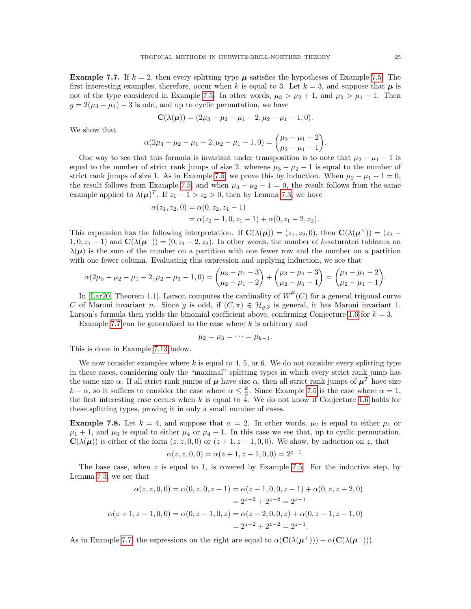<span id="page-24-0"></span>**Example 7.7.** If  $k = 2$ , then every splitting type  $\mu$  satisfies the hypotheses of Example [7.5.](#page-23-1) The first interesting examples, therefore, occur when k is equal to 3. Let  $k = 3$ , and suppose that  $\mu$  is not of the type considered in Example [7.5.](#page-23-1) In other words,  $\mu_3 > \mu_2 + 1$ , and  $\mu_2 > \mu_1 + 1$ . Then  $g = 2(\mu_3 - \mu_1) - 3$  is odd, and up to cyclic permutation, we have

$$
\mathbf{C}(\lambda(\boldsymbol{\mu})) = (2\mu_3 - \mu_2 - \mu_1 - 2, \mu_2 - \mu_1 - 1, 0).
$$

We show that

$$
\alpha(2\mu_3 - \mu_2 - \mu_1 - 2, \mu_2 - \mu_1 - 1, 0) = {\mu_3 - \mu_1 - 2 \choose \mu_2 - \mu_1 - 1}.
$$

One way to see that this formula is invariant under transposition is to note that  $\mu_2 - \mu_1 - 1$  is equal to the number of strict rank jumps of size 2, whereas  $\mu_3 - \mu_2 - 1$  is equal to the number of strict rank jumps of size 1. As in Example [7.5,](#page-23-1) we prove this by induction. When  $\mu_2 - \mu_1 - 1 = 0$ , the result follows from Example [7.5,](#page-23-1) and when  $\mu_3 - \mu_2 - 1 = 0$ , the result follows from the same example applied to  $\lambda(\mu)^T$ . If  $z_1 - 1 > z_2 > 0$ , then by Lemma [7.3,](#page-22-0) we have

$$
\alpha(z_1, z_2, 0) = \alpha(0, z_2, z_1 - 1)
$$
  
=  $\alpha(z_2 - 1, 0, z_1 - 1) + \alpha(0, z_1 - 2, z_2).$ 

This expression has the following interpretation. If  $\mathbf{C}(\lambda(\mu)) = (z_1, z_2, 0)$ , then  $\mathbf{C}(\lambda(\mu^+)) = (z_2 1, 0, z_1 - 1$  and  $\mathbf{C}(\lambda(\mu^-)) = (0, z_1 - 2, z_2)$ . In other words, the number of k-saturated tableaux on  $\lambda(\mu)$  is the sum of the number on a partition with one fewer row and the number on a partition with one fewer column. Evaluating this expression and applying induction, we see that

$$
\alpha(2\mu_3 - \mu_2 - \mu_1 - 2, \mu_2 - \mu_1 - 1, 0) = {\mu_3 - \mu_1 - 3 \choose \mu_2 - \mu_1 - 2} + {\mu_3 - \mu_1 - 3 \choose \mu_2 - \mu_1 - 1} = {\mu_3 - \mu_1 - 2 \choose \mu_2 - \mu_1 - 1}.
$$

In [\[Lar20,](#page-29-18) Theorem 1.1], Larson computes the cardinality of  $\overline{W}^{\mu}(C)$  for a general trigonal curve C of Maroni invariant n. Since g is odd, if  $(C, \pi) \in \mathcal{H}_{q,3}$  is general, it has Maroni invariant 1. Larson's formula then yields the binomial coefficient above, confirming Conjecture [1.6](#page-2-0) for  $k = 3$ .

Example [7.7](#page-24-0) can be generalized to the case where  $k$  is arbitrary and

$$
\mu_2=\mu_3=\cdots=\mu_{k-1}.
$$

This is done in Example [7.13](#page-27-0) below.

We now consider examples where  $k$  is equal to 4, 5, or 6. We do not consider every splitting type in these cases, considering only the "maximal" splitting types in which every strict rank jump has the same size  $\alpha$ . If all strict rank jumps of  $\mu$  have size  $\alpha$ , then all strict rank jumps of  $\mu^T$  have size  $k - \alpha$ , so it suffices to consider the case where  $\alpha \leq \frac{k}{2}$ . Since Example [7.5](#page-23-1) is the case where  $\alpha = 1$ , the first interesting case occurs when  $k$  is equal to 4. We do not know if Conjecture [1.6](#page-2-0) holds for these splitting types, proving it in only a small number of cases.

<span id="page-24-1"></span>**Example 7.8.** Let  $k = 4$ , and suppose that  $\alpha = 2$ . In other words,  $\mu_2$  is equal to either  $\mu_1$  or  $\mu_1 + 1$ , and  $\mu_3$  is equal to either  $\mu_4$  or  $\mu_4 - 1$ . In this case we see that, up to cyclic permutation,  $\mathbf{C}(\lambda(\boldsymbol{\mu}))$  is either of the form  $(z, z, 0, 0)$  or  $(z + 1, z - 1, 0, 0)$ . We show, by induction on z, that

$$
\alpha(z, z, 0, 0) = \alpha(z + 1, z - 1, 0, 0) = 2^{z - 1}.
$$

The base case, when  $z$  is equal to 1, is covered by Example [7.5.](#page-23-1) For the inductive step, by Lemma [7.3,](#page-22-0) we see that

$$
\alpha(z, z, 0, 0) = \alpha(0, z, 0, z - 1) = \alpha(z - 1, 0, 0, z - 1) + \alpha(0, z, z - 2, 0)
$$
  
=  $2^{z-2} + 2^{z-2} = 2^{z-1}$   

$$
\alpha(z + 1, z - 1, 0, 0) = \alpha(0, z - 1, 0, z) = \alpha(z - 2, 0, 0, z) + \alpha(0, z - 1, z - 1, 0)
$$
  
=  $2^{z-2} + 2^{z-2} = 2^{z-1}$ .

As in Example [7.7,](#page-24-0) the expressions on the right are equal to  $\alpha(\mathbf{C}(\lambda(\boldsymbol{\mu}^+))) + \alpha(\mathbf{C}(\lambda(\boldsymbol{\mu}^-)))$ .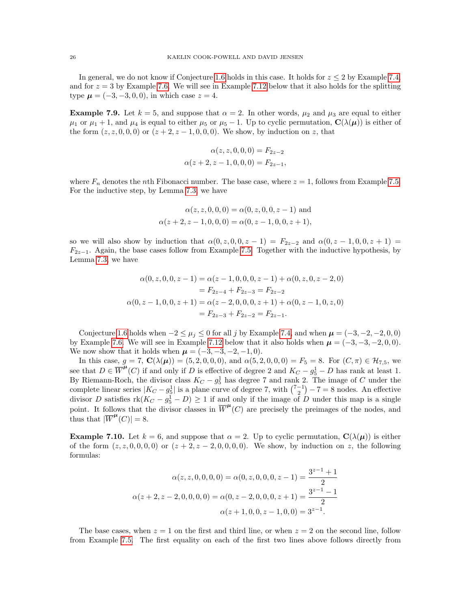In general, we do not know if Conjecture [1.6](#page-2-0) holds in this case. It holds for  $z \leq 2$  by Example [7.4,](#page-23-3) and for  $z = 3$  by Example [7.6.](#page-23-0) We will see in Example [7.12](#page-26-0) below that it also holds for the splitting type  $\mu = (-3, -3, 0, 0)$ , in which case  $z = 4$ .

<span id="page-25-0"></span>**Example 7.9.** Let  $k = 5$ , and suppose that  $\alpha = 2$ . In other words,  $\mu_2$  and  $\mu_3$  are equal to either  $\mu_1$  or  $\mu_1 + 1$ , and  $\mu_4$  is equal to either  $\mu_5$  or  $\mu_5 - 1$ . Up to cyclic permutation,  $\mathbf{C}(\lambda(\mu))$  is either of the form  $(z, z, 0, 0, 0)$  or  $(z + 2, z - 1, 0, 0, 0)$ . We show, by induction on z, that

$$
\alpha(z, z, 0, 0, 0) = F_{2z-2}
$$
  

$$
\alpha(z+2, z-1, 0, 0, 0) = F_{2z-1},
$$

where  $F_n$  denotes the *n*th Fibonacci number. The base case, where  $z = 1$ , follows from Example [7.5.](#page-23-1) For the inductive step, by Lemma [7.3,](#page-22-0) we have

$$
\alpha(z, z, 0, 0, 0) = \alpha(0, z, 0, 0, z - 1) \text{ and}
$$
  

$$
\alpha(z + 2, z - 1, 0, 0, 0) = \alpha(0, z - 1, 0, 0, z + 1),
$$

so we will also show by induction that  $\alpha(0, z, 0, 0, z - 1) = F_{2z-2}$  and  $\alpha(0, z - 1, 0, 0, z + 1) =$  $F_{2z-1}$ . Again, the base cases follow from Example [7.5.](#page-23-1) Together with the inductive hypothesis, by Lemma [7.3,](#page-22-0) we have

$$
\alpha(0, z, 0, 0, z - 1) = \alpha(z - 1, 0, 0, 0, z - 1) + \alpha(0, z, 0, z - 2, 0)
$$
  
=  $F_{2z-4} + F_{2z-3} = F_{2z-2}$   

$$
\alpha(0, z - 1, 0, 0, z + 1) = \alpha(z - 2, 0, 0, 0, z + 1) + \alpha(0, z - 1, 0, z, 0)
$$
  
=  $F_{2z-3} + F_{2z-2} = F_{2z-1}$ .

Conjecture [1.6](#page-2-0) holds when  $-2 \leq \mu_j \leq 0$  for all j by Example [7.4,](#page-23-3) and when  $\mu = (-3, -2, -2, 0, 0)$ by Example [7.6.](#page-23-0) We will see in Example [7.12](#page-26-0) below that it also holds when  $\mu = (-3, -3, -2, 0, 0)$ . We now show that it holds when  $\mu = (-3, -3, -2, -1, 0)$ .

In this case,  $g = 7$ ,  $\mathbf{C}(\lambda(\mu)) = (5, 2, 0, 0, 0)$ , and  $\alpha(5, 2, 0, 0, 0) = F_5 = 8$ . For  $(C, \pi) \in \mathcal{H}_{7,5}$ , we see that  $D \in \overline{W}^{\mu}(C)$  if and only if D is effective of degree 2 and  $K_C - g_5^1 - D$  has rank at least 1. By Riemann-Roch, the divisor class  $K_C - g_5^1$  has degree 7 and rank 2. The image of C under the complete linear series  $|K_C - g_5^1|$  is a plane curve of degree 7, with  $\binom{7-1}{2} - 7 = 8$  nodes. An effective divisor D satisfies  $rk(K_C - g_5^1 - D) \geq 1$  if and only if the image of D under this map is a single point. It follows that the divisor classes in  $\overline{W}^{\mu}(C)$  are precisely the preimages of the nodes, and thus that  $|\overline{W}^{\mu}(C)| = 8$ .

<span id="page-25-1"></span>**Example 7.10.** Let  $k = 6$ , and suppose that  $\alpha = 2$ . Up to cyclic permutation,  $\mathbf{C}(\lambda(\mu))$  is either of the form  $(z, z, 0, 0, 0, 0)$  or  $(z + 2, z - 2, 0, 0, 0, 0)$ . We show, by induction on z, the following formulas:

$$
\alpha(z, z, 0, 0, 0, 0) = \alpha(0, z, 0, 0, 0, z - 1) = \frac{3^{z-1} + 1}{2}
$$

$$
\alpha(z + 2, z - 2, 0, 0, 0, 0) = \alpha(0, z - 2, 0, 0, 0, z + 1) = \frac{3^{z-1} - 1}{2}
$$

$$
\alpha(z + 1, 0, 0, z - 1, 0, 0) = 3^{z-1}.
$$

The base cases, when  $z = 1$  on the first and third line, or when  $z = 2$  on the second line, follow from Example [7.5.](#page-23-1) The first equality on each of the first two lines above follows directly from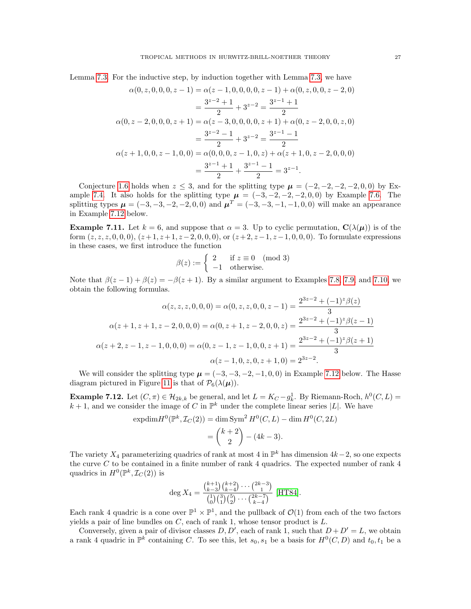Lemma [7.3.](#page-22-0) For the inductive step, by induction together with Lemma [7.3,](#page-22-0) we have

$$
\alpha(0, z, 0, 0, 0, z - 1) = \alpha(z - 1, 0, 0, 0, 0, z - 1) + \alpha(0, z, 0, 0, z - 2, 0)
$$
  
= 
$$
\frac{3^{z-2} + 1}{2} + 3^{z-2} = \frac{3^{z-1} + 1}{2}
$$
  

$$
\alpha(0, z - 2, 0, 0, 0, z + 1) = \alpha(z - 3, 0, 0, 0, 0, z + 1) + \alpha(0, z - 2, 0, 0, z, 0)
$$
  
= 
$$
\frac{3^{z-2} - 1}{2} + 3^{z-2} = \frac{3^{z-1} - 1}{2}
$$
  

$$
\alpha(z + 1, 0, 0, z - 1, 0, 0) = \alpha(0, 0, 0, z - 1, 0, z) + \alpha(z + 1, 0, z - 2, 0, 0, 0)
$$
  
= 
$$
\frac{3^{z-1} + 1}{2} + \frac{3^{z-1} - 1}{2} = 3^{z-1}.
$$

Conjecture [1.6](#page-2-0) holds when  $z \leq 3$ , and for the splitting type  $\mu = (-2, -2, -2, -2, 0, 0)$  by Ex-ample [7.4.](#page-23-3) It also holds for the splitting type  $\mu = (-3, -2, -2, -2, 0, 0)$  by Example [7.6.](#page-23-0) The splitting types  $\mu = (-3, -3, -2, -2, 0, 0)$  and  $\mu^T = (-3, -3, -1, -1, 0, 0)$  will make an appearance in Example [7.12](#page-26-0) below.

<span id="page-26-1"></span>**Example 7.11.** Let  $k = 6$ , and suppose that  $\alpha = 3$ . Up to cyclic permutation,  $\mathbf{C}(\lambda(\mu))$  is of the form  $(z, z, z, 0, 0, 0)$ ,  $(z+1, z+1, z-2, 0, 0, 0)$ , or  $(z+2, z-1, z-1, 0, 0, 0)$ . To formulate expressions in these cases, we first introduce the function

$$
\beta(z) := \begin{cases} 2 & \text{if } z \equiv 0 \pmod{3} \\ -1 & \text{otherwise.} \end{cases}
$$

Note that  $\beta(z-1)+\beta(z)=-\beta(z+1)$ . By a similar argument to Examples [7.8,](#page-24-1) [7.9,](#page-25-0) and [7.10,](#page-25-1) we obtain the following formulas.

$$
\alpha(z, z, z, 0, 0, 0) = \alpha(0, z, z, 0, 0, z - 1) = \frac{2^{3z - 2} + (-1)^z \beta(z)}{3}
$$

$$
\alpha(z + 1, z + 1, z - 2, 0, 0, 0) = \alpha(0, z + 1, z - 2, 0, 0, z) = \frac{2^{3z - 2} + (-1)^z \beta(z - 1)}{3}
$$

$$
\alpha(z + 2, z - 1, z - 1, 0, 0, 0) = \alpha(0, z - 1, z - 1, 0, 0, z + 1) = \frac{2^{3z - 2} + (-1)^z \beta(z + 1)}{3}
$$

$$
\alpha(z - 1, 0, z, 0, z + 1, 0) = 2^{3z - 2}.
$$

We will consider the splitting type  $\mu = (-3, -3, -2, -1, 0, 0)$  in Example [7.12](#page-26-0) below. The Hasse diagram pictured in Figure [11](#page-22-1) is that of  $\mathcal{P}_6(\lambda(\mu))$ .

<span id="page-26-0"></span>**Example 7.12.** Let  $(C, \pi) \in \mathcal{H}_{2k,k}$  be general, and let  $L = K_C - g_k^1$ . By Riemann-Roch,  $h^0(C, L) =$  $k+1$ , and we consider the image of C in  $\mathbb{P}^k$  under the complete linear series |L|. We have

$$
\text{expdim} H^0(\mathbb{P}^k, \mathcal{I}_C(2)) = \dim \text{Sym}^2 H^0(C, L) - \dim H^0(C, 2L)
$$

$$
= {k+2 \choose 2} - (4k-3).
$$

The variety  $X_4$  parameterizing quadrics of rank at most 4 in  $\mathbb{P}^k$  has dimension  $4k-2$ , so one expects the curve C to be contained in a finite number of rank 4 quadrics. The expected number of rank 4 quadrics in  $H^0(\mathbb{P}^k, \mathcal{I}_C(2))$  is

$$
\deg X_4 = \frac{\binom{k+1}{k-3}\binom{k+2}{k-4}\cdots\binom{2k-3}{1}}{\binom{1}{0}\binom{3}{1}\binom{5}{2}\cdots\binom{2k-7}{k-4}} [HT84].
$$

Each rank 4 quadric is a cone over  $\mathbb{P}^1 \times \mathbb{P}^1$ , and the pullback of  $\mathcal{O}(1)$  from each of the two factors yields a pair of line bundles on  $C$ , each of rank 1, whose tensor product is  $L$ .

Conversely, given a pair of divisor classes  $D, D'$ , each of rank 1, such that  $D + D' = L$ , we obtain a rank 4 quadric in  $\mathbb{P}^k$  containing C. To see this, let  $s_0, s_1$  be a basis for  $H^0(C, D)$  and  $t_0, t_1$  be a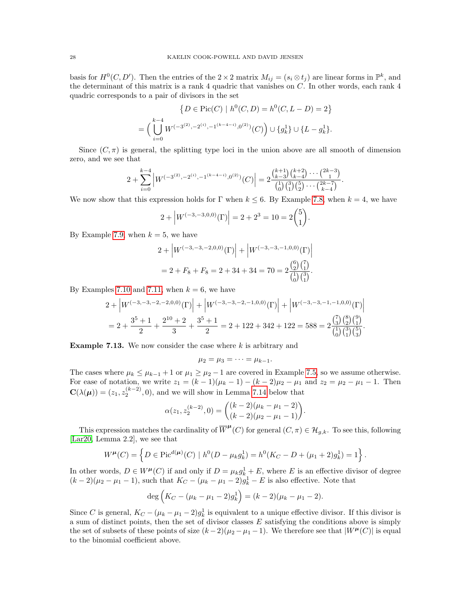basis for  $H^0(C, D')$ . Then the entries of the  $2 \times 2$  matrix  $M_{ij} = (s_i \otimes t_j)$  are linear forms in  $\mathbb{P}^k$ , and the determinant of this matrix is a rank 4 quadric that vanishes on C. In other words, each rank 4 quadric corresponds to a pair of divisors in the set

$$
\{D \in \text{Pic}(C) \mid h^0(C, D) = h^0(C, L - D) = 2\}
$$
  
= 
$$
\Big(\bigcup_{i=0}^{k-4} W^{(-3^{(2)}, -2^{(i)}, -1^{(k-4-i)}, 0^{(2)})}(C)\Big) \cup \{g_k^1\} \cup \{L - g_k^1\}.
$$

Since  $(C, \pi)$  is general, the splitting type loci in the union above are all smooth of dimension zero, and we see that

$$
2 + \sum_{i=0}^{k-4} \left| W^{(-3^{(2)}, -2^{(i)}, -1^{(k-4-i)}, 0^{(2)})}(C) \right| = 2 \frac{\binom{k+1}{k-3} \binom{k+2}{k-4} \cdots \binom{2k-3}{1}}{\binom{1}{0} \binom{3}{1} \binom{5}{2} \cdots \binom{2k-7}{k-4}}.
$$

We now show that this expression holds for  $\Gamma$  when  $k \leq 6$ . By Example [7.8,](#page-24-1) when  $k = 4$ , we have

$$
2 + |W^{(-3,-3,0,0)}(\Gamma)| = 2 + 2^3 = 10 = 2\binom{5}{1}.
$$

By Example [7.9,](#page-25-0) when  $k = 5$ , we have

$$
2 + |W^{(-3,-3,-2,0,0)}(\Gamma)| + |W^{(-3,-3,-1,0,0)}(\Gamma)|
$$
  
= 2 + F<sub>8</sub> + F<sub>8</sub> = 2 + 34 + 34 = 70 = 2 $\frac{\binom{6}{2}\binom{7}{1}}{\binom{1}{0}\binom{3}{1}}$ .

By Examples [7.10](#page-25-1) and [7.11,](#page-26-1) when  $k = 6$ , we have

$$
2 + \left| W^{(-3,-3,-2,-2,0,0)}(\Gamma) \right| + \left| W^{(-3,-3,-2,-1,0,0)}(\Gamma) \right| + \left| W^{(-3,-3,-1,-1,0,0)}(\Gamma) \right|
$$
  
= 
$$
2 + \frac{3^5 + 1}{2} + \frac{2^{10} + 2}{3} + \frac{3^5 + 1}{2} = 2 + 122 + 342 + 122 = 588 = 2 \frac{{\binom{7}{3}} {\binom{8}{2}} {\binom{9}{1}}}{\binom{7}{0}} {\binom{5}{3}}.
$$

<span id="page-27-0"></span>**Example 7.13.** We now consider the case where  $k$  is arbitrary and

$$
\mu_2=\mu_3=\cdots=\mu_{k-1}.
$$

The cases where  $\mu_k \le \mu_{k-1} + 1$  or  $\mu_1 \ge \mu_2 - 1$  are covered in Example [7.5,](#page-23-1) so we assume otherwise. For ease of notation, we write  $z_1 = (k-1)(\mu_k - 1) - (k-2)\mu_2 - \mu_1$  and  $z_2 = \mu_2 - \mu_1 - 1$ . Then  $\mathbf{C}(\lambda(\boldsymbol{\mu})) = (z_1, z_2^{(k-2)}, 0)$ , and we will show in Lemma [7.14](#page-28-7) below that

$$
\alpha(z_1, z_2^{(k-2)}, 0) = \binom{(k-2)(\mu_k - \mu_1 - 2)}{(k-2)(\mu_2 - \mu_1 - 1)}.
$$

This expression matches the cardinality of  $\overline{W}^{\mu}(C)$  for general  $(C, \pi) \in \mathcal{H}_{g,k}$ . To see this, following [\[Lar20,](#page-29-18) Lemma 2.2], we see that

$$
W^{\mu}(C) = \left\{ D \in \text{Pic}^{d(\mu)}(C) \mid h^0(D - \mu_k g_k^1) = h^0(K_C - D + (\mu_1 + 2)g_k^1) = 1 \right\}.
$$

In other words,  $D \in W^{\mu}(C)$  if and only if  $D = \mu_k g_k^1 + E$ , where E is an effective divisor of degree  $(k-2)(\mu_2 - \mu_1 - 1)$ , such that  $K_C - (\mu_k - \mu_1 - 2)g_k^1 - E$  is also effective. Note that

$$
\deg\left(K_C - (\mu_k - \mu_1 - 2)g_k^1\right) = (k-2)(\mu_k - \mu_1 - 2).
$$

Since C is general,  $K_C - (\mu_k - \mu_1 - 2)g_k^1$  is equivalent to a unique effective divisor. If this divisor is a sum of distinct points, then the set of divisor classes E satisfying the conditions above is simply the set of subsets of these points of size  $(k-2)(\mu_2 - \mu_1 - 1)$ . We therefore see that  $|W^{\mu}(C)|$  is equal to the binomial coefficient above.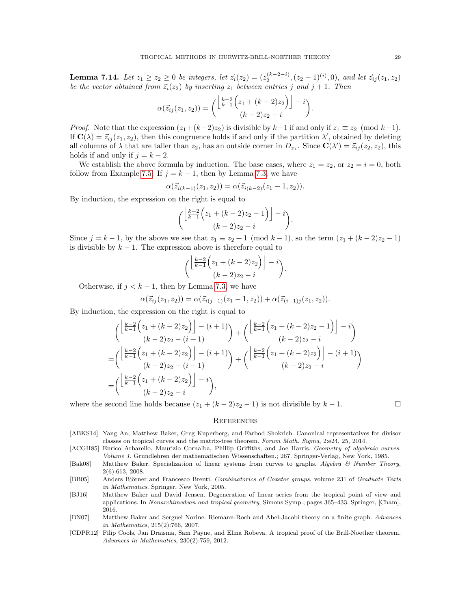<span id="page-28-7"></span>**Lemma 7.14.** Let  $z_1 \ge z_2 \ge 0$  be integers, let  $\vec{z}_i(z_2) = (z_2^{(k-2-i)}, (z_2-1)^{(i)}, 0)$ , and let  $\vec{z}_{ij}(z_1, z_2)$ be the vector obtained from  $\vec{z}_i(z_2)$  by inserting  $z_1$  between entries j and j + 1. Then

$$
\alpha(\vec{z}_{ij}(z_1, z_2)) = \binom{\left\lfloor \frac{k-2}{k-1} \left( z_1 + (k-2) z_2 \right) \right\rfloor - i}{(k-2) z_2 - i}.
$$

*Proof.* Note that the expression  $(z_1+(k-2)z_2)$  is divisible by  $k-1$  if and only if  $z_1 \equiv z_2 \pmod{k-1}$ . If  $\mathbf{C}(\lambda) = \vec{z}_{ij}(z_1, z_2)$ , then this congruence holds if and only if the partition  $\lambda'$ , obtained by deleting all columns of  $\lambda$  that are taller than  $z_2$ , has an outside corner in  $D_{z_1}$ . Since  $\mathbf{C}(\lambda') = \vec{z}_{ij}(z_2, z_2)$ , this holds if and only if  $j = k - 2$ .

We establish the above formula by induction. The base cases, where  $z_1 = z_2$ , or  $z_2 = i = 0$ , both follow from Example [7.5.](#page-23-1) If  $j = k - 1$ , then by Lemma [7.3,](#page-22-0) we have

$$
\alpha(\vec{z}_{i(k-1)}(z_1,z_2)) = \alpha(\vec{z}_{i(k-2)}(z_1-1,z_2)).
$$

By induction, the expression on the right is equal to

$$
\left(\frac{\left\lfloor\frac{k-2}{k-1}\left(z_1+(k-2)z_2-1\right)\right\rfloor-i}{(k-2)z_2-i}\right).
$$

Since  $j = k - 1$ , by the above we see that  $z_1 \equiv z_2 + 1 \pmod{k-1}$ , so the term  $(z_1 + (k-2)z_2 - 1)$ is divisible by  $k - 1$ . The expression above is therefore equal to

$$
\binom{\left\lfloor\frac{k-2}{k-1}\left(z_1+(k-2)z_2\right)\right\rfloor-i}{(k-2)z_2-i}.
$$

Otherwise, if  $j < k - 1$ , then by Lemma [7.3,](#page-22-0) we have

$$
\alpha(\vec{z}_{ij}(z_1,z_2)) = \alpha(\vec{z}_{i(j-1)}(z_1-1,z_2)) + \alpha(\vec{z}_{(i-1)j}(z_1,z_2)).
$$

By induction, the expression on the right is equal to

$$
\begin{split}\n&\left(\frac{\left[\frac{k-2}{k-1}\left(z_1+(k-2)z_2\right)\right]-(i+1)}{(k-2)z_2-(i+1)}\right)+\left(\frac{\left[\frac{k-2}{k-1}\left(z_1+(k-2)z_2-1\right)\right]-i}{(k-2)z_2-i}\right)\\&=\n\left(\frac{\left[\frac{k-2}{k-1}\left(z_1+(k-2)z_2\right)\right]-(i+1)}{(k-2)z_2-(i+1)}\right)+\n\left(\frac{\left[\frac{k-2}{k-1}\left(z_1+(k-2)z_2\right)\right]-(i+1)}{(k-2)z_2-i}\right)\\&=\n\left(\frac{\left[\frac{k-2}{k-1}\left(z_1+(k-2)z_2\right)\right]-i}{(k-2)z_2-i}\right),\n\end{split}
$$

where the second line holds because  $(z_1 + (k-2)z_2 - 1)$  is not divisible by  $k - 1$ .

$$
\qquad \qquad \Box
$$

#### **REFERENCES**

- <span id="page-28-3"></span>[ABKS14] Yang An, Matthew Baker, Greg Kuperberg, and Farbod Shokrieh. Canonical representatives for divisor classes on tropical curves and the matrix-tree theorem. Forum Math. Sigma, 2:e24, 25, 2014.
- <span id="page-28-6"></span>[ACGH85] Enrico Arbarello, Maurizio Cornalba, Phillip Griffiths, and Joe Harris. Geometry of algebraic curves. Volume 1. Grundlehren der mathematischen Wissenschaften.; 267. Springer-Verlag, New York, 1985.
- <span id="page-28-1"></span>[Bak08] Matthew Baker. Specialization of linear systems from curves to graphs. Algebra & Number Theory, 2(6):613, 2008.
- <span id="page-28-5"></span>[BB05] Anders Björner and Francesco Brenti. Combinatorics of Coxeter groups, volume 231 of Graduate Texts in Mathematics. Springer, New York, 2005.
- <span id="page-28-2"></span>[BJ16] Matthew Baker and David Jensen. Degeneration of linear series from the tropical point of view and applications. In Nonarchimedean and tropical geometry, Simons Symp., pages 365–433. Springer, [Cham], 2016.
- <span id="page-28-4"></span>[BN07] Matthew Baker and Serguei Norine. Riemann-Roch and Abel-Jacobi theory on a finite graph. Advances in Mathematics, 215(2):766, 2007.
- <span id="page-28-0"></span>[CDPR12] Filip Cools, Jan Draisma, Sam Payne, and Elina Robeva. A tropical proof of the Brill-Noether theorem. Advances in Mathematics, 230(2):759, 2012.